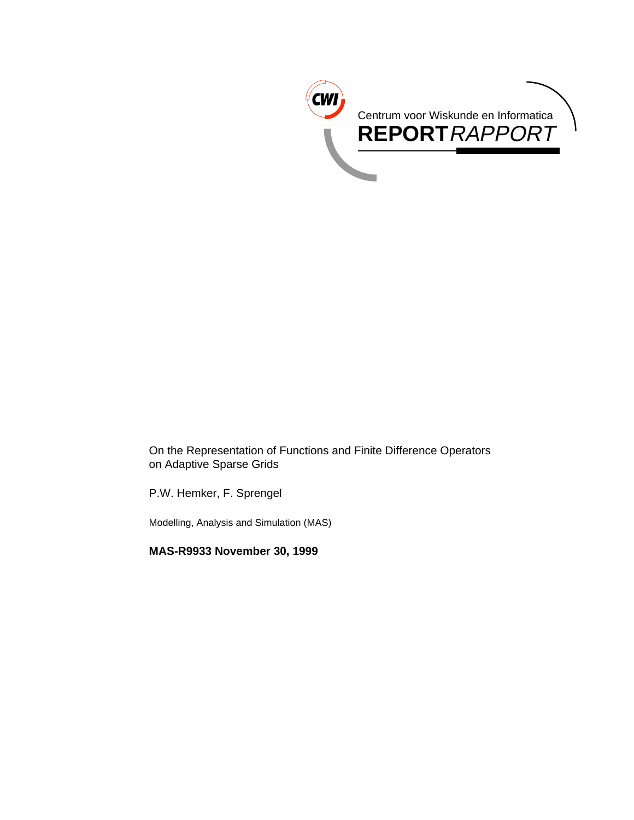

On the Representation of Functions and Finite Difference Operators on Adaptive Sparse Grids

P.W. Hemker, F. Sprengel

Modelling, Analysis and Simulation (MAS)

**MAS-R9933 November 30, 1999**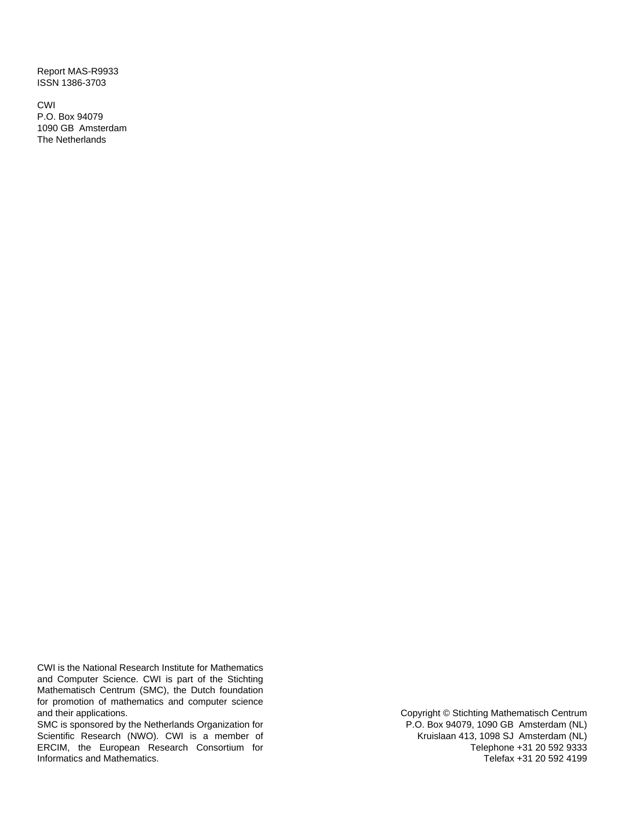Report MAS-R9933 ISSN 1386-3703

CWI P.O. Box 94079 1090 GB Amsterdam The Netherlands

CWI is the National Research Institute for Mathematics and Computer Science. CWI is part of the Stichting Mathematisch Centrum (SMC), the Dutch foundation for promotion of mathematics and computer science and their applications.

SMC is sponsored by the Netherlands Organization for Scientific Research (NWO). CWI is a member of ERCIM, the European Research Consortium for Informatics and Mathematics.

Copyright © Stichting Mathematisch Centrum P.O. Box 94079, 1090 GB Amsterdam (NL) Kruislaan 413, 1098 SJ Amsterdam (NL) Telephone +31 20 592 9333 Telefax +31 20 592 4199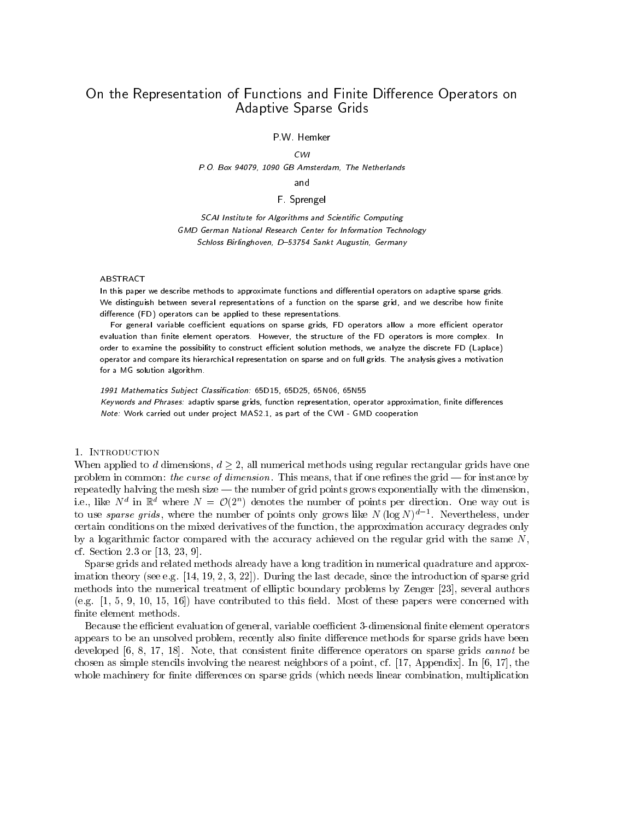# On the Representation of Functions and Finite Difference Operators on Adaptive Sparse Grids

### P.W. Hemker

#### $CWI$

P.O. Box 94079, 1090 GB Amsterdam, The Netherlands

#### and -----

### F. Sprengel

SCAI Institute for Algorithms and Scientific Computing GMD German National Research Center for Information Technology Schloss Birlinghoven, D-53754 Sankt Augustin, Germany

#### ABSTRACT

In this paper we describe methods to approximate functions and differential operators on adaptive sparse grids. We distinguish between several representations of a function on the sparse grid, and we describe how finite difference (FD) operators can be applied to these representations.

For general variable coefficient equations on sparse grids, FD operators allow a more efficient operator evaluation than finite element operators. However, the structure of the FD operators is more complex. In order to examine the possibility to construct efficient solution methods, we analyze the discrete FD (Laplace) operator and compare its hierarchical representation on sparse and on full grids. The analysis gives a motivation for a MG solution algorithm.

1991 Mathematics Subject Classification: 65D15, 65D25, 65N06, 65N55 Keywords and Phrases: adaptiv sparse grids, function representation, operator approximation, finite differences Note: Work carried out under project MAS2.1, as part of the CWI - GMD cooperation

#### 1. Introduction

When applied to d dimensions,  $d \geq 2$ , all numerical methods using regular rectangular grids have one problem in common: the curse of dimension. This means, that if one refines the grid  $-$  for instance by repeatedly halving the mesh size — the number of grid points grows exponentially with the dimension, i.e., like  $N$  in  $\mathbb R$  where  $N = \mathcal{O}(2)$  denotes the number of points per direction. One way out is to use *sparse grias*, where the number of points only grows like *I*V (log *IV*)<sup>2</sup> = . Nevertheless, under certain conditions on the mixed derivatives of the function, the approximation accuracy degrades only by a logarithmic factor compared with the accuracy achieved on the regular grid with the same  $N$ , cf. Section 2.3 or [13, 23, 9].

Sparse grids and related methods already have a long tradition in numerical quadrature and approximation theory (see e.g. [14, 19, 2, 3, 22]). During the last decade, since the introduction of sparse grid methods into the numerical treatment of elliptic boundary problems by Zenger [23], several authors (e.g.  $[1, 5, 9, 10, 15, 16]$ ) have contributed to this field. Most of these papers were concerned with finite element methods.

Because the efficient evaluation of general, variable coefficient 3-dimensional finite element operators appears to be an unsolved problem, recently also finite difference methods for sparse grids have been developed  $[6, 8, 17, 18]$ . Note, that consistent finite difference operators on sparse grids *cannot* be chosen as simple stencils involving the nearest neighbors of a point, cf. [17, Appendix]. In [6, 17], the whole machinery for finite differences on sparse grids (which needs linear combination, multiplication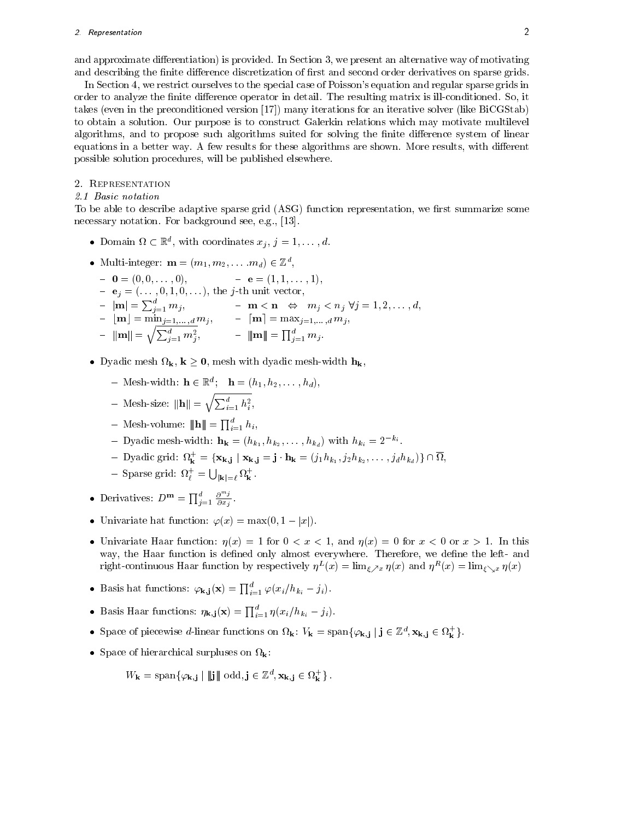and approximate differentiation) is provided. In Section 3, we present an alternative way of motivating and describing the finite difference discretization of first and second order derivatives on sparse grids.

In Section 4, we restrict ourselves to the special case of Poisson's equation and regular sparse grids in order to analyze the finite difference operator in detail. The resulting matrix is ill-conditioned. So, it takes (even in the preconditioned version [17]) many iterations for an iterative solver (like BiCGStab) to obtain a solution. Our purpose is to construct Galerkin relations which may motivate multilevel algorithms, and to propose such algorithms suited for solving the finite difference system of linear equations in a better way. A few results for these algorithms are shown. More results, with different possible solution procedures, will be published elsewhere.

### 2. Representation

### 2.1 Basic notation

To be able to describe adaptive sparse grid (ASG) function representation, we first summarize some necessary notation. For background see, e.g., [13].

- Domain  $\alpha \in \mathbb{R}^n$ , with coordinates  $x_j$ ,  $j = 1, \ldots, d$ .
- Multi-integer:  $m = (m_1, m_2, \ldots, m_d) \in \mathbb{Z}^7$ ,
	- ${\bf 0} = {\bf 0} = (0, 0, \ldots, 0), \qquad {\bf 0} = {\bf e} = (1, 1, \ldots, 1),$  ${\bf e} = |{\bf m}| = \sum_{i=1}^d m_i, \qquad {\bf m} < {\bf n} \Leftrightarrow m_j < n_j \ \forall j = 1, 2, \ldots, d,$  $\| \mathbf{m} \| = \sqrt{\sum_{j=1}^d m_j^2}, \qquad \qquad \| \mathbf{m} \| = \prod_{j=1}^d m_j.$
- dic and mesh-with discussion and the mesh-width here are not mesh-width here  $\mathbf{K}$  , which has been assumed to  $\mathbf{K}$  , which has been assumed to  $\mathbf{K}$  , which has been assumed to  $\mathbf{K}$  , which has been assumed
	- $=$  Mesh-width:  $\mathbf{n} \in \mathbb{R}$ ;  $\mathbf{n} = (n_1, n_2, \ldots, n_d)$ ,
	- Mesh-size:  $\|\mathbf{h}\| = \sqrt{\sum_{i=1}^d h_i^2},$
	- $-$  Mesh-volume:  $\|\mathbf{h}\| = \prod_{i=1}^a h_i,$
	- Dyadic mesh-width:  $\mathbf{h_k} = (h_{k_1}, h_{k_2}, \ldots, h_{k_d})$  with  $h_{k_i} = 2^{-k_i}$

,

- Dyadic grid:  $V_{\mathbf{k}} = {\mathbf{x}_{\mathbf{k},\mathbf{j}}} | \mathbf{x}_{\mathbf{k},\mathbf{j}} = \mathbf{j} \mathbf{n}_{\mathbf{k}} = (j_1 n_{k_1}, j_2 n_{k_2}, \dots, j_d n_{k_d})$ } | | 11, ,
- Sparse grid:  $\Omega_{\ell}^{+} = \bigcup_{|\mathbf{k}|=\ell} \Omega_{\mathbf{k}}^{+}$ .
- Derivatives:  $D^{\mathbf{m}} = \prod_{j=1}^{a} \frac{\partial^{m_j}}{\partial x_j}$ .  $\sim$   $\sim$   $\sim$   $\sim$
- Univariate hat function:  $\varphi(x) = \max(0, 1 |x|).$
- Univariate Haar function:  $\eta(x) = 1$  for  $0 < x < 1$ , and  $\eta(x) = 0$  for  $x < 0$  or  $x > 1$ . In this way, the Haar function is defined only almost everywhere. Therefore, we define the left- and right-continuous maar function by respectively  $\eta_-(x) = \min_{\xi \nearrow x} \eta(x)$  and  $\eta_-(x) = \min_{\xi \searrow x} \eta(x)$
- Basis hat functions:  $\varphi_{\mathbf{k},\mathbf{j}}(\mathbf{x}) = \prod_{i=1}^a \varphi(x_i/h_{k_i} j_i).$
- Basis Haar functions:  $\eta_{k,j}(x) = \prod_{i=1}^{a} \eta(x_i/h_{k_i} j_i).$
- Space of piecewise *a*-linear functions on  $M_{\mathbf{k}}$ :  $V_{\mathbf{k}} = \text{span}{\{\varphi_{\mathbf{k},\mathbf{j}} \mid \mathbf{j} \in \mathbb{Z}^n, \mathbf{X}_{\mathbf{k},\mathbf{j}} \in M_{\mathbf{k}}\}}$ .
- Space of hierarchical surpluses on k:

$$
W_{\mathbf{k}} = \mathrm{span}\{\varphi_{\mathbf{k},\mathbf{j}} \mid \|\mathbf{j}\| \mathrm{ odd}, \mathbf{j} \in \mathbb{Z}^d, \mathbf{x}_{\mathbf{k},\mathbf{j}} \in \Omega_{\mathbf{k}}^+\}.
$$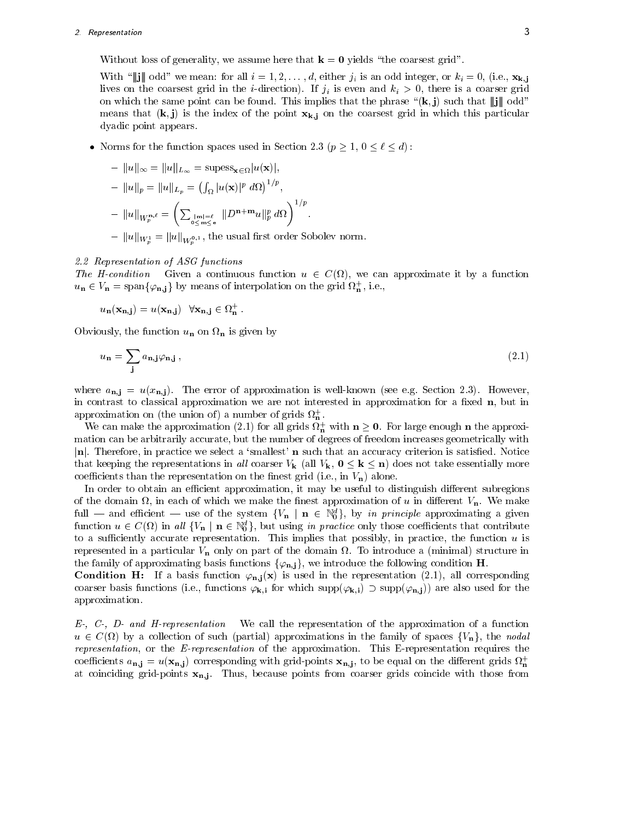### 2. Representation <sup>3</sup>

Without loss of generality, we assume here that  $\mathbf{k} = \mathbf{0}$  yields "the coarsest grid".

With " $\|\mathbf{j}\|$  odd" we mean: for all  $i = 1, 2, \ldots, d$ , either  $j_i$  is an odd integer, or  $k_i = 0$ , (i.e.,  $\mathbf{x}_{k,j}$ lives on the coarsest grid in the *i*-direction). If  $j_i$  is even and  $k_i > 0$ , there is a coarser grid on which the same point can be found. This implies that the phrase " $(k, j)$  such that  $\|j\|$  odd" means that  $(k, j)$  is the index of the point  $x_{k,j}$  on the coarsest grid in which this particular dyadic point appears.

Norms for the function spaces used in Section 2.3 ( $p \geq 1$ ,  $0 \leq \ell \leq d$ ):

$$
- ||u||_{\infty} = ||u||_{L_{\infty}} = \text{supess}_{\mathbf{x} \in \Omega} |u(\mathbf{x})|,
$$
  
\n
$$
- ||u||_{p} = ||u||_{L_{p}} = \left(\int_{\Omega} |u(\mathbf{x})|^{p} d\Omega\right)^{1/p},
$$
  
\n
$$
- ||u||_{W_{p}^{\mathbf{n}, \ell}} = \left(\sum_{0 \leq m \leq e} ||D^{\mathbf{n} + \mathbf{m}} u||_{p}^{p} d\Omega\right)^{1/p}.
$$
  
\n
$$
- ||u||_{W_{p}^{1}} = ||u||_{W_{p}^{0,1}}, \text{ the usual first order Sobolev norm.}
$$

<sup>p</sup>

### 2.2 Representation of ASG functions

The H-condition Given a continuous function u 2 C( ), we can approximate it by a function  $u_{\mathbf{n}} \in V_{\mathbf{n}} = \text{span}\{\varphi_{\mathbf{n},\mathbf{j}}\}$  by means of interpolation on the grid  $\mathcal{U}_{\mathbf{n}}$ , i.e.,

$$
u_{\mathbf{n}}(\mathbf{x}_{\mathbf{n},\mathbf{j}}) = u(\mathbf{x}_{\mathbf{n},\mathbf{j}}) \quad \forall \mathbf{x}_{\mathbf{n},\mathbf{j}} \in \Omega_{\mathbf{n}}^{+}.
$$

Obviously, the function un on <sup>n</sup> is given by

$$
u_{\mathbf{n}} = \sum_{\mathbf{j}} a_{\mathbf{n}, \mathbf{j}} \varphi_{\mathbf{n}, \mathbf{j}} , \qquad (2.1)
$$

where  $a_{n,i} = u(x_{n,i})$ . The error of approximation is well-known (see e.g. Section 2.3). However, in contrast to classical approximation we are not interested in approximation for a fixed  $n$ , but in approximation on (the union of) a number of grids  $\Omega_{\bf n}$ .

We can make the approximation (2.1) for all grids  $u_n$  with  $n \geq 0$ . For large enough n the approximation can be arbitrarily accurate, but the number of degrees of freedom increases geometrically with  $|\mathbf{n}|$ . Therefore, in practice we select a 'smallest'  $\mathbf{n}$  such that an accuracy criterion is satisfied. Notice that keeping the representations in all coarser  $V_{\mathbf{k}}$  (all  $V_{\mathbf{k}}$ ,  $0 \leq \mathbf{k} \leq \mathbf{n}$ ) does not take essentially more coefficients than the representation on the finest grid (i.e., in  $V_n$ ) alone.

In order to obtain an efficient approximation, it may be useful to distinguish different subregions , in the domain  $\mathbb{R}^n$  in each of which we make the make the make the make the value  $\mathbb{R}^n$ full  $-$  and efficient  $-$  use of the system  $\{v_{\bf n} \mid {\bf n} \in \mathbb{N}_0^2\}$ , by in principle approximating a given function  $u \in C(\Omega)$  in all  $\{V_{\mathbf{n}} \mid \mathbf{n} \in \mathbb{N}_0\}$ , but using in practice only those coefficients that contribute to a sufficiently accurate representation. This implies that possibly, in practice, the function  $u$  is represented in a particular Vn only on part of the domain . To introduce a (minimal) structure in the family of approximating basis functions  $\{\varphi_{n,j}\}\,$ , we introduce the following condition H.

**Condition H:** If a basis function  $\varphi_{n,i}(x)$  is used in the representation (2.1), all corresponding coarser basis functions (i.e., functions  $\varphi_{k,i}$  for which supp $(\varphi_{k,i})$ )  $\sup p(\varphi_{n,i})$  are also used for the approximation.

 $E$ -,  $C$ -,  $D$ - and H-representation We call the representation of the approximation of a function u 2 C( ) by a collection of such (partial) approximations in the family of spaces fVng, the nodal representation, or the E-representation of the approximation. This E-representation requires the coefficients  $a_{n,j} = u(\mathbf{x}_{n,j})$  corresponding with grid-points  $\mathbf{x}_{n,j}$ , to be equal on the different grids  $\Omega_n^+$ the contract of the contract of the contract of the contract of the contract of the contract of the contract of at coinciding grid-points  $x_{n,j}$ . Thus, because points from coarser grids coincide with those from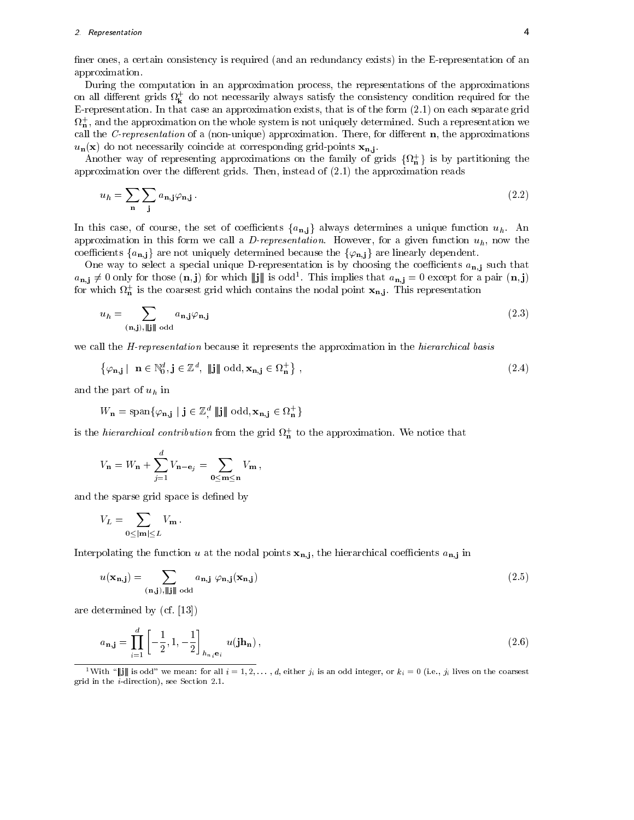### 2. Representation <sup>4</sup>

finer ones, a certain consistency is required (and an redundancy exists) in the E-representation of an approximation.

During the computation in an approximation process, the representations of the approximations on all different grids  $\bm{\mathcal{U}_k}$  do not necessarily always satisfy the consistency condition required for the E-representation. In that case an approximation exists, that is of the form (2.1) on each separate grid  $\mathfrak{u}_\mathbf{n}$  , and the approximation on the whole system is not uniquely determined. Such a representation we call the C-representation of a (non-unique) approximation. There, for different  $n$ , the approximations  $u_{n}(\mathbf{x})$  do not necessarily coincide at corresponding grid-points  $\mathbf{x}_{n,j}$ .

Another way of representing approximations on the family of grids  $\{u_n\}$  is by partitioning the approximation over the different grids. Then, instead of  $(2.1)$  the approximation reads

$$
u_h = \sum_{\mathbf{n}} \sum_{\mathbf{j}} a_{\mathbf{n}, \mathbf{j}} \varphi_{\mathbf{n}, \mathbf{j}} \,. \tag{2.2}
$$

In this case, of course, the set of coefficients  $\{a_{n,j}\}$  always determines a unique function  $u_h$ . An approximation in this form we call a D-representation. However, for a given function  $u_h$ , now the coemcients  $\{a_{\bf n,i}\}$  are not uniquely determined because the  $\{\varphi_{\bf n,i}\}$  are linearly dependent.

One way to select a special unique D-representation is by choosing the coefficients  $a_{n,j}$  such that  $a_{\bf n,i}\neq 0$  only for those  $({\bf n},{\bf j})$  for which  $\|{\bf j}\|$  is odd . This implies that  $a_{\bf n,i}=0$  except for a pair  $({\bf n},{\bf j})$ for which  $\iota_{\mathbf{n}}$  is the coarsest grid which contains the nodal point  $\mathbf{x_{n,j}}$ . This representation

$$
u_h = \sum_{(\mathbf{n}, \mathbf{j}), \|\mathbf{j}\| \text{ odd}} a_{\mathbf{n}, \mathbf{j}} \varphi_{\mathbf{n}, \mathbf{j}} \tag{2.3}
$$

we call the *H-representation* because it represents the approximation in the *hierarchical basis* 

$$
\{\varphi_{\mathbf{n},\mathbf{j}} \mid \mathbf{n} \in \mathbb{N}_0^d, \mathbf{j} \in \mathbb{Z}^d, \|\mathbf{j}\| \text{ odd}, \mathbf{x}_{\mathbf{n},\mathbf{j}} \in \Omega_{\mathbf{n}}^+\},\tag{2.4}
$$

and the part of  $u_h$  in

$$
W_{\mathbf{n}} = \mathrm{span}\{\varphi_{\mathbf{n},\mathbf{j}} \mid \mathbf{j} \in \mathbb{Z}^d_{\mathbf{p}} \parallel \mathbf{j} \parallel \mathrm{odd}, \mathbf{x}_{\mathbf{n},\mathbf{j}} \in \Omega_{\mathbf{n}}^{+}\}
$$

is the *merarchical contribution* from the grid  $\alpha_n$  to the approximation. We notice that

$$
V_{\mathbf{n}} = W_{\mathbf{n}} + \sum_{j=1}^{d} V_{\mathbf{n}-\mathbf{e}_j} = \sum_{\mathbf{0} \le \mathbf{m} \le \mathbf{n}} V_{\mathbf{m}},
$$

and the sparse grid space is defined by

$$
V_L = \sum_{0 \le |\mathbf{m}| \le L} V_{\mathbf{m}} \, .
$$

Interpolating the function u at the nodal points  $x_{n,j}$ , the hierarchical coefficients  $a_{n,j}$  in

$$
u(\mathbf{x}_{\mathbf{n},\mathbf{j}}) = \sum_{(\mathbf{n},\mathbf{j}), \|\mathbf{j}\| \text{ odd}} a_{\mathbf{n},\mathbf{j}} \varphi_{\mathbf{n},\mathbf{j}}(\mathbf{x}_{\mathbf{n},\mathbf{j}})
$$
(2.5)

are determined by (cf. [13])

$$
a_{\mathbf{n},\mathbf{j}} = \prod_{i=1}^{d} \left[ -\frac{1}{2}, 1, -\frac{1}{2} \right]_{h_{n_i} \mathbf{e}_i} u(\mathbf{j} \mathbf{h}_{\mathbf{n}}), \qquad (2.6)
$$

<sup>1</sup>With " $\|\mathbf{j}\|$  is odd" we mean: for all  $i = 1, 2, \ldots, d$ , either  $j_i$  is an odd integer, or  $k_i = 0$  (i.e.,  $j_i$  lives on the coarsest grid in the <sup>i</sup>-direction), see Section 2.1.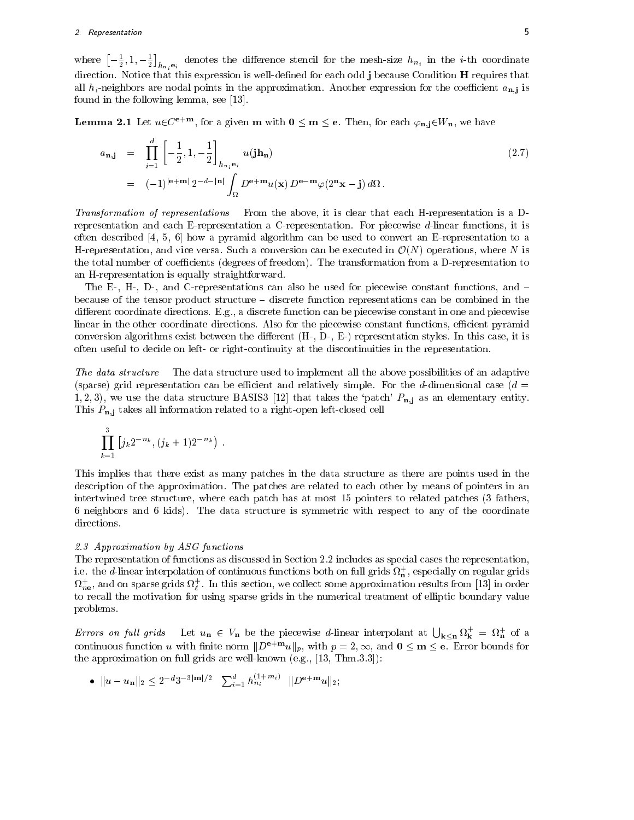### 2. Representation <sup>5</sup>

where  $\left[-\frac{1}{2},1,-\frac{1}{2}\right]_{h_{n_i}e_i}$  denotes the difference stencil for the mesh-size  $h_{n_i}$  in the *i*-th coordinate direction. Notice that this expression is well-defined for each odd j because Condition H requires that all  $h_i$ -neighbors are nodal points in the approximation. Another expression for the coefficient  $a_{n,i}$  is found in the following lemma, see [13].

**Lemma 2.1** Let  $u \in C^{e+m}$ , for a given **m** with  $0 \le m \le e$ . Then, for each  $\varphi_{n,i} \in W_n$ , we have

$$
a_{\mathbf{n},\mathbf{j}} = \prod_{i=1}^{d} \left[ -\frac{1}{2}, 1, -\frac{1}{2} \right]_{h_{n_i} \mathbf{e}_i} u(\mathbf{j} \mathbf{h}_{\mathbf{n}})
$$
  
=  $(-1)^{|\mathbf{e} + \mathbf{m}|} 2^{-d-|\mathbf{n}|} \int_{\Omega} D^{\mathbf{e} + \mathbf{m}} u(\mathbf{x}) D^{\mathbf{e} - \mathbf{m}} \varphi(2^n \mathbf{x} - \mathbf{j}) d\Omega.$  (2.7)

Transformation of representations From the above, it is clear that each H-representation is a Drepresentation and each E-representation a C-representation. For piecewise d-linear functions, it is often described [4, 5, 6] how a pyramid algorithm can be used to convert an E-representation to a H-representation, and vice versa. Such a conversion can be executed in  $\mathcal{O}(N)$  operations, where N is the total number of coefficients (degrees of freedom). The transformation from a D-representation to an H-representation is equally straightforward.

The E-, H-, D-, and C-representations can also be used for piecewise constant functions, and  $$ because of the tensor product structure  $-\text{discrete function }$  representations can be combined in the different coordinate directions. E.g., a discrete function can be piecewise constant in one and piecewise linear in the other coordinate directions. Also for the piecewise constant functions, efficient pyramid conversion algorithms exist between the different  $(H-, D-, E-)$  representation styles. In this case, it is often useful to decide on left- or right-continuity at the discontinuities in the representation.

The data structure The data structure used to implement all the above possibilities of an adaptive (sparse) grid representation can be efficient and relatively simple. For the d-dimensional case ( $d =$ 1, 2, 3), we use the data structure BASIS3 [12] that takes the 'patch'  $P_{n,j}$  as an elementary entity. This  $P_{n,i}$  takes all information related to a right-open left-closed cell

$$
\prod_{k=1}^3 \left[ j_k 2^{-n_k}, (j_k+1) 2^{-n_k} \right) \, .
$$

This implies that there exist as many patches in the data structure as there are points used in the description of the approximation. The patches are related to each other by means of pointers in an intertwined tree structure, where each patch has at most 15 pointers to related patches (3 fathers, 6 neighbors and 6 kids). The data structure is symmetric with respect to any of the coordinate directions.

### 2.3 Approximation by ASG functions

The representation of functions as discussed in Section 2.2 includes as special cases the representation, i.e. the  $a$ -linear interpolation of continuous functions both on full grids  $\iota_{\bf n}$  , especially on regular grids  $\Omega_{ne}$ , and on sparse grids  $\Omega_{\ell}$  . In this section, we collect some approximation results from [13] in order to recall the motivation for using sparse grids in the numerical treatment of elliptic boundary value problems.

Errors on full grids Let  $u_n \in V_n$  be the piecewise d-linear interpolant at  $\bigcup_{k \leq n} \Omega_k^+ = \Omega_n^+$  of a continuous function u with finite norm  $\|D^{++m}u\|_p,$  with  $p=2,\infty,$  and  $0\le m\le e$ . Error bounds for the approximation on full grids are well-known (e.g., [13, Thm.3.3]):

• 
$$
||u - u_n||_2 \le 2^{-d} 3^{-3|m|/2}
$$
  $\sum_{i=1}^d h_{n_i}^{(1+m_i)}$   $||D^{\mathbf{e+m}} u||_2$ ;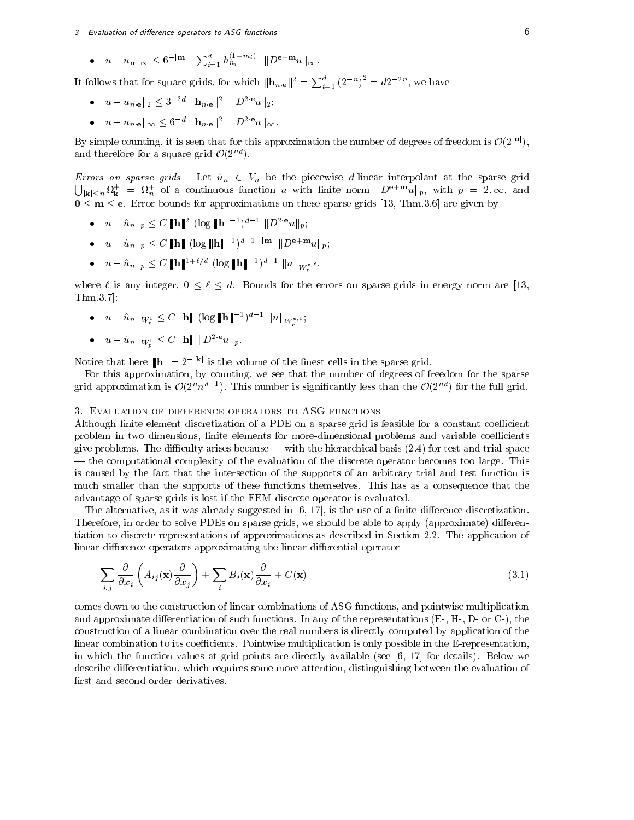$\bullet \ \|u-u_{\bf n}\|_\infty \leq 6^{-|{\bf m}|} \ \ \sum_{i=1}^a h_{n_i}^{(1+mi)} \ \ \|D^{{\bf e+ m}}u\|_\infty.$ 

It follows that for square grids, for which  $\|\mathbf{h}_{n,\mathbf{e}}\|^2 = \sum_{i=1}^a (2^{-n})^2 = d2^{-2n}$ , we have

- $||u u_{n \cdot e}||_2 \leq 3^{-2d} ||\mathbf{h}_{n \cdot e}||^2 ||D^{2 \cdot e}u||_2;$
- $||u u_{n,e}||_{\infty} \leq 6^{-d} ||\mathbf{h}_{n,e}||^2 ||D^{2}e_u||_{\infty}$ .

By simple counting, it is seen that for this approximation the number of degrees of freedom is  $\mathcal{O}(2^{|\mathbf{n}|})$ , and therefore for a square grid  $\mathcal{O}(2^{nd})$ .

Errors on sparse grids Let  $\hat{u}_n \in V_n$  be the piecewise d-linear interpolant at the sparse grid  $\bigcup_{\mathbf{k} \in \mathbb{R}^n} \Omega^+_{\mathbf{k}} = \Omega^+_{n}$  of a continuous function u with finite norm  $||D^{\mathbf{e}+\mathbf{m}}u||_p$ , with  $p = 2, \infty$ , and <sup>0</sup> <sup>m</sup> e. Error bounds for approximations on these sparse grids [13, Thm.3.6] are given by

- $||u u_n||_p \leq C$   $||\mathbf{H}||_p$  (log  $||\mathbf{H}||_p$  ) is  $||D u||_p$ ;
- $\bullet$   $\|u u_n\|_p \leq C$   $\|u\|$  (log  $\|u\|$ )  $\|u u\|_p$ ;
- $||u u_n||_p \leq C ||\mathbf{H}||$  (log  $||\mathbf{H}||$  )  $||u||_{W_p^{e, \ell}}$ .

where  $\alpha$  is any integral  $\alpha$  . On the errors for the errors on sparse grids in energy norm are  $[13,1]$ Thm.3.7]:

<sup>p</sup>

- $\bullet$   $\|u u_n\|_{W^1_p} \leq C$   $\|u\|$  (log  $\|u\|$ )  $\|u\|_{W^{\mathbf{e},1}_n}$
- $||u \hat{u}_n||_{W_n^1} \leq C ||\mathbf{h}|| ||D^{2 \cdot \mathbf{e}}u||_p.$

Notice that here  $||\mathbf{h}|| = 2^{-|\mathbf{k}|}$  is the volume of the finest cells in the sparse grid.

For this approximation, by counting, we see that the number of degrees of freedom for the sparse grid approximation is  $\mathcal{O}(2^n n^{n-1})$ . This number is significantly less than the  $\mathcal{O}(2^{n-1})$  for the full grid.

#### 3. Evaluation of difference operators to ASG functions

Although finite element discretization of a PDE on a sparse grid is feasible for a constant coefficient problem in two dimensions, finite elements for more-dimensional problems and variable coefficients give problems. The difficulty arises because — with the hierarchical basis  $(2.4)$  for test and trial space | the computational complexity of the evaluation of the discrete operator becomes too large. This is caused by the fact that the intersection of the supports of an arbitrary trial and test function is much smaller than the supports of these functions themselves. This has as a consequence that the advantage of sparse grids is lost if the FEM discrete operator is evaluated.

The alternative, as it was already suggested in  $[6, 17]$ , is the use of a finite difference discretization. Therefore, in order to solve PDEs on sparse grids, we should be able to apply (approximate) differentiation to discrete representations of approximations as described in Section 2.2. The application of linear difference operators approximating the linear differential operator

$$
\sum_{i,j} \frac{\partial}{\partial x_i} \left( A_{ij}(\mathbf{x}) \frac{\partial}{\partial x_j} \right) + \sum_i B_i(\mathbf{x}) \frac{\partial}{\partial x_i} + C(\mathbf{x}) \tag{3.1}
$$

comes down to the construction of linear combinations of ASG functions, and pointwise multiplication and approximate differentiation of such functions. In any of the representations  $(E-, H-, D-$  or  $C-)$ , the construction of a linear combination over the real numbers is directly computed by application of the linear combination to its coefficients. Pointwise multiplication is only possible in the E-representation, in which the function values at grid-points are directly available (see [6, 17] for details). Below we describe differentiation, which requires some more attention, distinguishing between the evaluation of first and second order derivatives.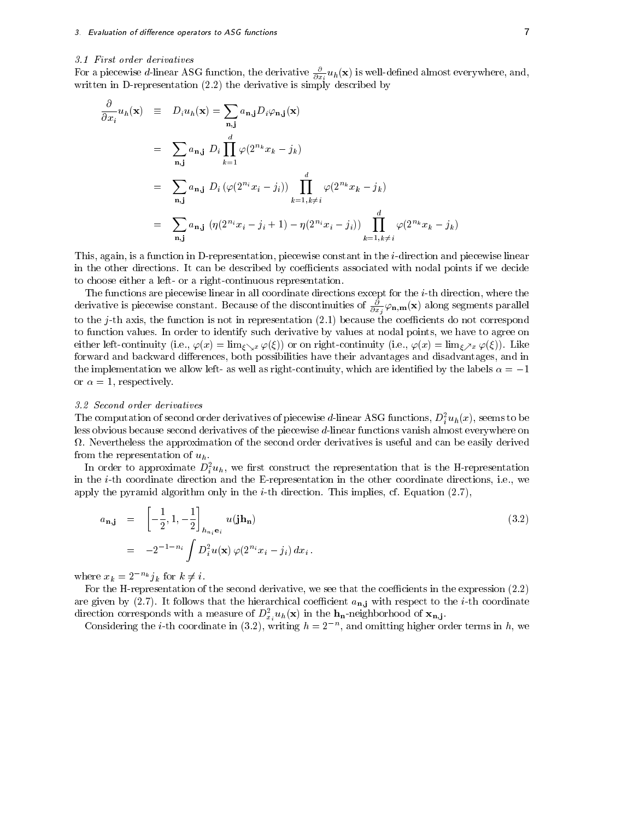#### 3.1 First order derivatives

For a piecewise *d*-iniear ASG function, the derivative  $\frac{\partial}{\partial x_i} u_h(\mathbf{x})$  is well-defined almost everywhere, and, written in D-representation (2.2) the derivative is simply described by

$$
\frac{\partial}{\partial x_i} u_h(\mathbf{x}) = D_i u_h(\mathbf{x}) = \sum_{\mathbf{n}, \mathbf{j}} a_{\mathbf{n}, \mathbf{j}} D_i \varphi_{\mathbf{n}, \mathbf{j}}(\mathbf{x})
$$
\n
$$
= \sum_{\mathbf{n}, \mathbf{j}} a_{\mathbf{n}, \mathbf{j}} D_i \prod_{k=1}^d \varphi(2^{n_k} x_k - j_k)
$$
\n
$$
= \sum_{\mathbf{n}, \mathbf{j}} a_{\mathbf{n}, \mathbf{j}} D_i (\varphi(2^{n_i} x_i - j_i)) \prod_{k=1, k \neq i}^d \varphi(2^{n_k} x_k - j_k)
$$
\n
$$
= \sum_{\mathbf{n}, \mathbf{j}} a_{\mathbf{n}, \mathbf{j}} (\eta(2^{n_i} x_i - j_i + 1) - \eta(2^{n_i} x_i - j_i)) \prod_{k=1, k \neq i}^d \varphi(2^{n_k} x_k - j_k)
$$

This, again, is a function in D-representation, piecewise constant in the i-direction and piecewise linear in the other directions. It can be described by coefficients associated with nodal points if we decide to choose either a left- or a right-continuous representation.

The functions are piecewise linear in all coordinate directions except for the i-th direction, where the derivative is piecewise constant. Because of the discontinuities of  $\frac{1}{\partial x_i}\varphi_{\mathbf{n},\mathbf{m}}(\mathbf{x})$  along segments parallel to the j-th axis, the function is not in representation  $(2.1)$  because the coefficients do not correspond to function values. In order to identify such derivative by values at nodal points, we have to agree on either left-continuity (i.e.,  $\varphi(x) = \lim_{\xi \searrow x} \varphi(\xi)$ ) or on right-continuity (i.e.,  $\varphi(x) = \lim_{\xi \nearrow x} \varphi(\xi)$ ). Like forward and backward differences, both possibilities have their advantages and disadvantages, and in the implementation we allow left- as well as right-continuity, which are identified by the labels  $\alpha = -1$ or  $\alpha = 1$ , respectively.

### 3.2 Second order derivatives

The computation of second order derivatives of piecewise a-linear ASG functions,  $D_i^{\tau} u_h(x)$ , seems to be less obvious because second derivatives of the piecewise d-linear functions vanish almost everywhere on .. Nevertheless the approximation of the second order derivatives is useful and can be easy derived the easy of from the representation of  $u_h$ .

In order to approximate  $D_i^{\tau}u_h$ , we first construct the representation that is the H-representation in the i-th coordinate direction and the E-representation in the other coordinate directions, i.e., we apply the pyramid algorithm only in the *i*-th direction. This implies, cf. Equation  $(2.7)$ ,

$$
a_{\mathbf{n},\mathbf{j}} = \left[ -\frac{1}{2}, 1, -\frac{1}{2} \right]_{h_{n_i} \mathbf{e}_i} u(\mathbf{j} \mathbf{h}_{\mathbf{n}})
$$
\n
$$
= -2^{-1 - n_i} \int D_i^2 u(\mathbf{x}) \, \varphi(2^{n_i} x_i - j_i) \, dx_i.
$$
\n(3.2)

where  $x_k = 2^{-n_k} j_k$  for  $k \neq i$ .

For the H-representation of the second derivative, we see that the coefficients in the expression (2.2) are given by  $(2.7)$ . It follows that the hierarchical coefficient  $a_{n,j}$  with respect to the *i*-th coordinate direction corresponds with a measure of  $D_{x_i}^2u_h(\mathbf{x})$  in the  $\mathbf{h}_n$ -neighborhood of  $\mathbf{x}_{n,j}$ .

Considering the *i*-th coordinate in (5.2), writing  $n = 2$ , and omitting higher order terms in  $n$ , we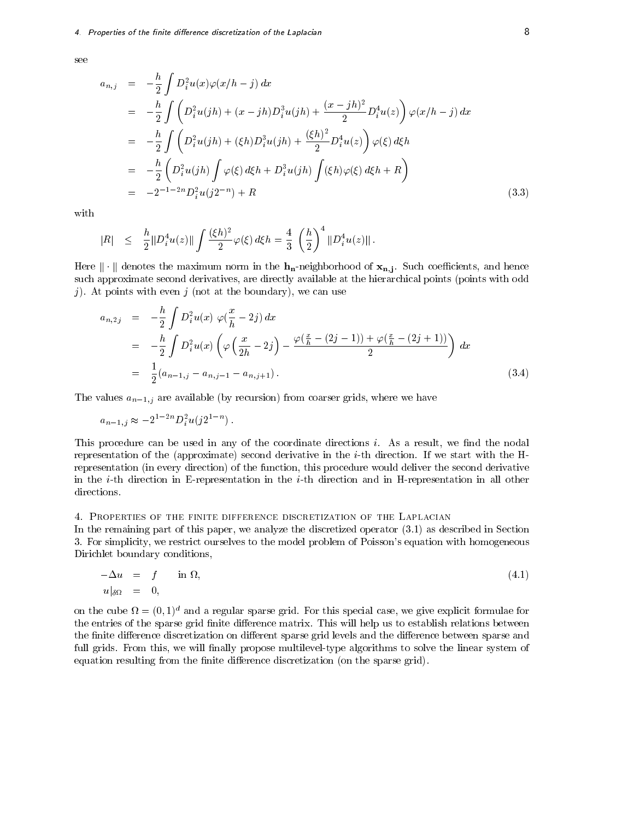see

$$
a_{n,j} = -\frac{h}{2} \int D_i^2 u(x) \varphi(x/h - j) dx
$$
  
\n
$$
= -\frac{h}{2} \int \left( D_i^2 u(jh) + (x - jh) D_i^3 u(jh) + \frac{(x - jh)^2}{2} D_i^4 u(z) \right) \varphi(x/h - j) dx
$$
  
\n
$$
= -\frac{h}{2} \int \left( D_i^2 u(jh) + (\xi h) D_i^3 u(jh) + \frac{(\xi h)^2}{2} D_i^4 u(z) \right) \varphi(\xi) d\xi h
$$
  
\n
$$
= -\frac{h}{2} \left( D_i^2 u(jh) \int \varphi(\xi) d\xi h + D_i^3 u(jh) \int (\xi h) \varphi(\xi) d\xi h + R \right)
$$
  
\n
$$
= -2^{-1-2n} D_i^2 u(j2^{-n}) + R
$$
\n(3.3)

with

$$
|R| \leq \frac{h}{2} \|D_i^4 u(z)\| \int \frac{(\xi h)^2}{2} \varphi(\xi) d\xi h = \frac{4}{3} \left(\frac{h}{2}\right)^4 \|D_i^4 u(z)\|.
$$

Here kk denotes the maximum norm in the hn-neighborhood of xn;j . Such coecients, and hence such approximate second derivatives, are directly available at the hierarchical points (points with odd j). At points with even j (not at the boundary), we can use

$$
a_{n,2j} = -\frac{h}{2} \int D_i^2 u(x) \varphi(\frac{x}{h} - 2j) dx
$$
  
=  $-\frac{h}{2} \int D_i^2 u(x) \left( \varphi(\frac{x}{2h} - 2j) - \frac{\varphi(\frac{x}{h} - (2j - 1)) + \varphi(\frac{x}{h} - (2j + 1))}{2} \right) dx$   
=  $\frac{1}{2} (a_{n-1,j} - a_{n,j-1} - a_{n,j+1}).$  (3.4)

The values  $a_{n-1,j}$  are available (by recursion) from coarser grids, where we have

$$
a_{n-1,j} \approx -2^{1-2n} D_i^2 u(j2^{1-n}).
$$

This procedure can be used in any of the coordinate directions  $i$ . As a result, we find the nodal representation of the (approximate) second derivative in the i-th direction. If we start with the Hrepresentation (in every direction) of the function, this procedure would deliver the second derivative in the *i*-th direction in E-representation in the *i*-th direction and in H-representation in all other directions.

### 4. Properties of the finite difference discretization of the Laplacian

In the remaining part of this paper, we analyze the discretized operator (3.1) as described in Section 3. For simplicity, we restrict ourselves to the model problem of Poisson's equation with homogeneous Dirichlet boundary conditions,

$$
-\Delta u = f \quad \text{in } \Omega, \tag{4.1}
$$
\n
$$
u|_{\delta\Omega} = 0,
$$

on the cube  $u = (0,1)^\circ$  and a regular sparse grid. For this special case, we give explicit formulae for the entries of the sparse grid finite difference matrix. This will help us to establish relations between the finite difference discretization on different sparse grid levels and the difference between sparse and full grids. From this, we will finally propose multilevel-type algorithms to solve the linear system of equation resulting from the finite difference discretization (on the sparse grid).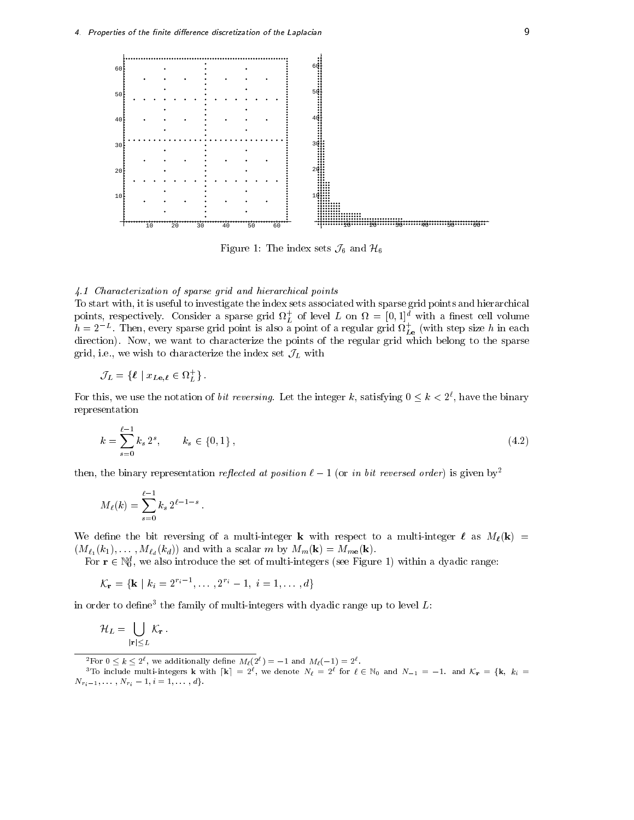

Figure 1: The index sets  $\mathcal{J}_6$  and  $\mathcal{H}_6$ 

### 4.1 Characterization of sparse grid and hierarchical points

To start with, it is useful to investigate the index sets associated with sparse grid points and hierarchical points, respectively. Consider a sparse grid  $V_L$  of level  $L$  on  $\overline{V} = [0,1]^{\infty}$  with a finest cell volume  $h=2^{-\omega}$  . Then, every sparse grid point is also a point of a regular grid  $\Omega_{L{\bf e}}$  (with step size  $h$  in each direction). Now, we want to characterize the points of the regular grid which belong to the sparse grid, i.e., we wish to characterize the index set  $\mathcal{J}_L$  with

$$
\mathcal{J}_L = \{ \ell \mid x_{L\mathbf{e}, \ell} \in \Omega_L^+ \}.
$$

For this, we use the notation of *bit reversing*. Let the integer k, satisfying  $0 \leq k \leq 2^\tau$ , have the binary representation

$$
k = \sum_{s=0}^{\ell-1} k_s 2^s, \qquad k_s \in \{0, 1\},\tag{4.2}
$$

then, the binary representation reflected at position  $\ell - 1$  (or in bit reversed order) is given by<sup>2</sup>

$$
M_{\ell}(k) = \sum_{s=0}^{\ell-1} k_s 2^{\ell-1-s}.
$$

We define the bit reversing of a multi-integer **k** with respect to a multi-integer  $\ell$  as  $M_{\ell}(\mathbf{k}) =$  $(M_{\ell_1}(k_1),\ldots,M_{\ell_d}(k_d))$  and with a scalar m by  $M_m(\mathbf{k}) = M_{m\mathbf{e}}(\mathbf{k}).$ 

For  $\mathbf{r} \in \mathbb{N}_0$ , we also introduce the set of multi-integers (see Figure 1) within a dyadic range:

$$
\mathcal{K}_{\mathbf{r}} = \{ \mathbf{k} \mid k_i = 2^{r_i - 1}, \dots, 2^{r_i} - 1, i = 1, \dots, d \}
$$

in order to define the family of multi-integers with dyadic range up to level  $L$ :

$$
\mathcal{H}_L = \bigcup_{|\mathbf{r}| \le L} \mathcal{K}_\mathbf{r} \, .
$$

For  $0 \le k \le 2^{\iota}$ , we additionally define  $M_{\ell}(2^{\iota}) = -1$  and  $M_{\ell}(-1) = 2^{\iota}$ .

<sup>&</sup>lt;sup>3</sup>To include multi-integers **k** with  $[\mathbf{k}] = 2^{\ell}$ , we denote  $N_{\ell} = 2^{\ell}$  for  $\ell \in \mathbb{N}_0$  and  $N_{-1} = -1$ . and  $\mathcal{K}_{\mathbf{r}} = {\mathbf{k}, k_i =$  $N_{r_i-1},\ldots,N_{r_i}-1, i = 1,\ldots,d\}.$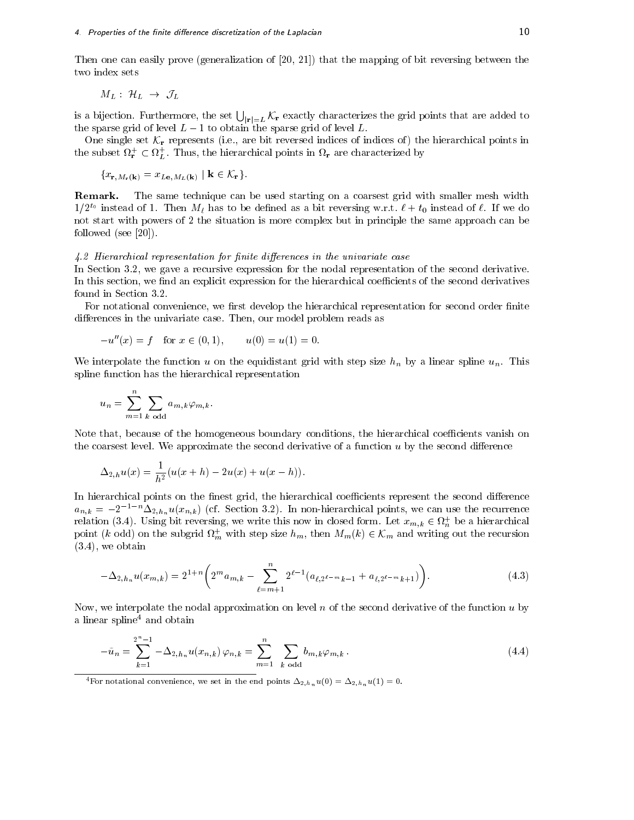Then one can easily prove (generalization of [20, 21]) that the mapping of bit reversing between the two index sets

$$
M_L: \ \mathcal{H}_L \ \rightarrow \ \mathcal{J}_L
$$

is a bijection. Furthermore, the set  $\bigcup_{|\mathbf{r}|=L} \mathcal{K}_{\mathbf{r}}$  exactly characterizes the grid points that are added to the sparse grid of level  $L-1$  to obtain the sparse grid of level L.

One single set  $\mathcal{K}_{r}$  represents (i.e., are bit reversed indices of indices of) the hierarchical points in the subset  $M_r \subset M_L$ . Thus, the hierarchical points in  $M_r$  are characterized by

$$
\{x_{\mathbf{r},M_{\mathbf{r}}(\mathbf{k})}=x_{L\mathbf{e},M_{L}(\mathbf{k})}\mid \mathbf{k}\in\mathcal{K}_{\mathbf{r}}\}.
$$

Remark. The same technique can be used starting on a coarsest grid with smaller mesh width  $1/Z^\circ$  instead of 1. Then  $M\ell$  has to be defined as a bit reversing w.r.t.  $\ell + t_0$  instead of  $\ell$ . If we do not start with powers of 2 the situation is more complex but in principle the same approach can be followed (see [20]).

### $4.2$  Hierarchical representation for finite differences in the univariate case

In Section 3.2, we gave a recursive expression for the nodal representation of the second derivative. In this section, we find an explicit expression for the hierarchical coefficients of the second derivatives found in Section 3.2.

For notational convenience, we first develop the hierarchical representation for second order finite differences in the univariate case. Then, our model problem reads as

$$
-u''(x) = f \text{ for } x \in (0,1), \qquad u(0) = u(1) = 0.
$$

We interpolate the function u on the equidistant grid with step size  $h_n$  by a linear spline  $u_n$ . This spline function has the hierarchical representation

$$
u_n = \sum_{m=1}^n \sum_{k \text{ odd}} a_{m,k} \varphi_{m,k}.
$$

Note that, because of the homogeneous boundary conditions, the hierarchical coefficients vanish on the coarsest level. We approximate the second derivative of a function  $u$  by the second difference

$$
\Delta_{2,h} u(x) = \frac{1}{h^2} (u(x+h) - 2u(x) + u(x-h)).
$$

In hierarchical points on the finest grid, the hierarchical coefficients represent the second difference  $a_{n,k} = -2^{-1-n} \Delta_{2,h_n} u(x_{n,k})$  (cf. Section 3.2). In non-hierarchical points, we can use the recurrence relation (5.4). Using bit reversing, we write this now in closed form. Let  $x_{m,k} \in \Omega_n^+$  be a hierarchical point (k odd) on the subgrid  $\alpha_m$  with step size  $n_m$ , then  $M_m(k) \in \mathcal{K}_m$  and writing out the recursion (3.4), we obtain

$$
-\Delta_{2,h_n} u(x_{m,k}) = 2^{1+n} \left( 2^m a_{m,k} - \sum_{\ell=m+1}^n 2^{\ell-1} (a_{\ell,2^{\ell-m}k-1} + a_{\ell,2^{\ell-m}k+1}) \right).
$$
 (4.3)

Now, we interpolate the nodal approximation on level n of the second derivative of the function  $u$  by a linear spline<sup>4</sup> and obtain

$$
-\tilde{u}_n = \sum_{k=1}^{2^n - 1} -\Delta_{2,h_n} u(x_{n,k}) \varphi_{n,k} = \sum_{m=1}^n \sum_{k \text{ odd}} b_{m,k} \varphi_{m,k} . \tag{4.4}
$$

<sup>&</sup>lt;sup>4</sup>For notational convenience, we set in the end points  $\Delta_{2,h_n} u(0) = \Delta_{2,h_n} u(1) = 0$ .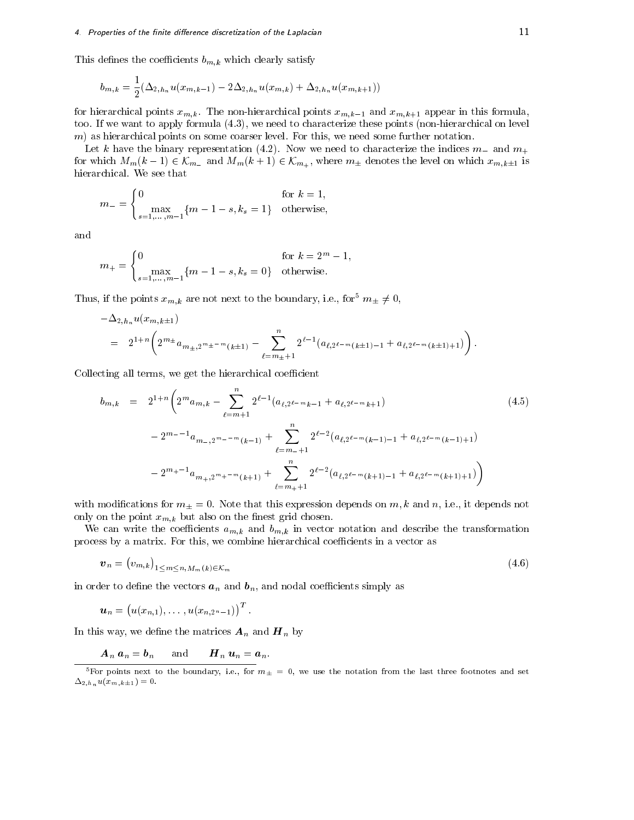This defines the coefficients  $b_{m,k}$  which clearly satisfy

$$
b_{m,k} = \frac{1}{2} (\Delta_{2,h_n} u(x_{m,k-1}) - 2\Delta_{2,h_n} u(x_{m,k}) + \Delta_{2,h_n} u(x_{m,k+1}))
$$

for hierarchical points  $x_{m,k}$ . The non-hierarchical points  $x_{m,k-1}$  and  $x_{m,k+1}$  appear in this formula, too. If we want to apply formula (4.3), we need to characterize these points (non-hierarchical on level m) as hierarchical points on some coarser level. For this, we need some further notation.

Let k have the binary representation (4.2). Now we need to characterize the indices  $m_{-}$  and  $m_{+}$ for which  $M_m(k-1) \in \mathcal{K}_{m_-}$  and  $M_m(k+1) \in \mathcal{K}_{m_+}$ , where  $m_\pm$  denotes the level on which  $x_{m,k\pm 1}$  is hierarchical. We see that

$$
m_{-} = \begin{cases} 0 & \text{for } k = 1, \\ \max_{s=1,\dots,m-1} \{m-1-s, k_s = 1\} & \text{otherwise,} \end{cases}
$$

and

$$
m_{+} = \begin{cases} 0 & \text{for } k = 2^{m} - 1, \\ \max_{s=1,\dots,m-1} \{m-1-s, k_s = 0\} & \text{otherwise.} \end{cases}
$$

Thus, if the points  $x_{m,k}$  are not next to the boundary, i.e., for<sup>5</sup>  $m_{\pm} \neq 0$ ,

$$
-\Delta_{2,h_n} u(x_{m,k\pm 1})
$$
  
=  $2^{1+n} \left(2^{m_{\pm}} a_{m_{\pm},2^{m_{\pm}-m}(k\pm 1)} - \sum_{\ell=m_{\pm}+1}^{n} 2^{\ell-1} (a_{\ell,2^{\ell-m}(k\pm 1)-1} + a_{\ell,2^{\ell-m}(k\pm 1)+1})\right).$ 

Collecting all terms, we get the hierarchical coefficient

$$
b_{m,k} = 2^{1+n} \left( 2^m a_{m,k} - \sum_{\ell=m+1}^n 2^{\ell-1} (a_{\ell,2^{\ell-m}k-1} + a_{\ell,2^{\ell-m}k+1}) \right)
$$
\n
$$
-2^{m-1} a_{m-2^m} - m(k-1) + \sum_{\ell=m+1}^n 2^{\ell-2} (a_{\ell,2^{\ell-m}(k-1)-1} + a_{\ell,2^{\ell-m}(k-1)+1})
$$
\n
$$
-2^{m+1} a_{m+2^m} - m(k+1) + \sum_{\ell=m+1}^n 2^{\ell-2} (a_{\ell,2^{\ell-m}(k+1)-1} + a_{\ell,2^{\ell-m}(k+1)+1}) \right)
$$
\n
$$
(4.5)
$$

with modifications for  $m_{\pm}=0$ . Note that this expression depends on  $m, k$  and  $n$ , i.e., it depends not only on the point  $x_{m,k}$  but also on the finest grid chosen.

We can write the coefficients  $a_{m,k}$  and  $b_{m,k}$  in vector notation and describe the transformation process by a matrix. For this, we combine hierarchical coefficients in a vector as

$$
\boldsymbol{v}_n = (v_{m,k})_{1 \le m \le n, M_m(k) \in \mathcal{K}_m} \tag{4.6}
$$

in order to define the vectors  $a_n$  and  $b_n$ , and nodal coefficients simply as

$$
\boldsymbol{u}_n=\big(u(x_{n,1}),\ldots\,,u(x_{n,2^n-1})\big)^T\,.
$$

In this way, we define the matrices  $A_n$  and  $H_n$  by

 $A_n a_n = b_n$  and  $H_n u_n = a_n$ .

For points next to the boundary, i.e., for  $m_\pm \, = \,$  0, we use the notation from the last three footnotes and set  $\Delta_{2,h_n} u(x_{m,k\pm 1}) = 0.$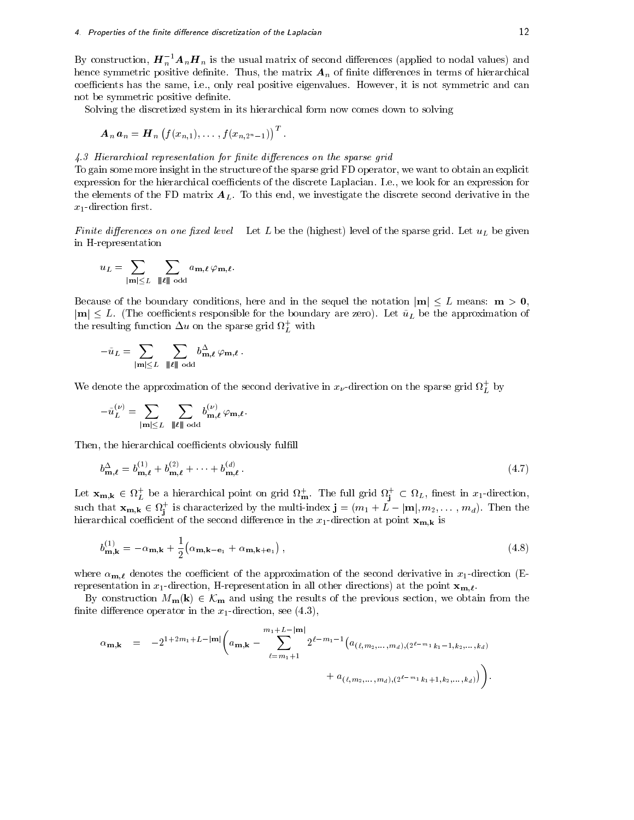By construction,  $\bm{H}_n$   $\bm{A}_n\bm{H}_n$  is the usual matrix of second differences (applied to nodal values) and hence symmetric positive definite. Thus, the matrix  $A_n$  of finite differences in terms of hierarchical coefficients has the same, i.e., only real positive eigenvalues. However, it is not symmetric and can not be symmetric positive definite.

Solving the discretized system in its hierarchical form now comes down to solving

$$
\boldsymbol{A}_n\,\boldsymbol{a}_n = \boldsymbol{H}_n\left(f(x_{n,1}),\ldots,f(x_{n,2^n-1})\right)^T.
$$

### 4.3 Hierarchical representation for finite differences on the sparse grid

To gain some more insight in the structure of the sparse grid FD operator, we want to obtain an explicit expression for the hierarchical coefficients of the discrete Laplacian. I.e., we look for an expression for the elements of the FD matrix  $A_L$ . To this end, we investigate the discrete second derivative in the  $x_1$ -direction first.

Finite differences on one fixed level Let L be the (highest) level of the sparse grid. Let  $u_L$  be given in H-representation

$$
u_L = \sum_{|\mathbf{m}| \leq L} \sum_{\|\boldsymbol{\ell}\| \text{ odd}} a_{\mathbf{m},\boldsymbol{\ell}} \varphi_{\mathbf{m},\boldsymbol{\ell}}.
$$

Because of the boundary conditions, here and in the sequel the notation  $|m| \leq L$  means:  $m > 0$ ,  $|\mathbf{m}| \leq L$ . (The coefficients responsible for the boundary are zero). Let  $\tilde{u}_L$  be the approximation of the resulting function  $\Delta u$  on the sparse grid  $\Omega_L^+$  with

$$
-\tilde u_L=\sum_{|{\mathbf m}|\leq L}\ \, \sum_{|\!|\boldsymbol\ell|\!|\!|}\sum_{{\rm odd}}b^\Delta_{{\mathbf m},\boldsymbol\ell}\,\varphi_{{\mathbf m},\boldsymbol\ell}\,.
$$

We denote the approximation of the second derivative in  $x_\nu$ -direction on the sparse grid  $M_L^+$  by

u~ () <sup>L</sup> <sup>=</sup> <sup>X</sup> jmjL <sup>X</sup> jjj`jjj odd b () m;` 'm;`:

Then, the hierarchical coefficients obviously fulfill

$$
b_{\mathbf{m},\ell}^{\Delta} = b_{\mathbf{m},\ell}^{(1)} + b_{\mathbf{m},\ell}^{(2)} + \dots + b_{\mathbf{m},\ell}^{(d)}.
$$
\n(4.7)

Let  ${\bf x_{m,k}} \in M_L^L$  be a hierarchical point on grid  $M_m$ . The full grid  $M_i^L \subset M_L$ , finest in  $x_1$ -direction, such that  ${\bf x}_{{\bf m},{\bf k}}\in M_{\bf j}$  is characterized by the multi-index  ${\bf j}=(m_1+L-|{\bf m}|,m_2,\dotsm,m_d).$  Then the je poznata u predstavanje u predstavanje u predstavanje u predstavanje u predstavanje u predstavanje u predstav hierarchical coecient of the second dierence in the x1-direction at point xm;k is

$$
b_{\mathbf{m},\mathbf{k}}^{(1)} = -\alpha_{\mathbf{m},\mathbf{k}} + \frac{1}{2} \left( \alpha_{\mathbf{m},\mathbf{k}-\mathbf{e}_1} + \alpha_{\mathbf{m},\mathbf{k}+\mathbf{e}_1} \right),
$$
\n(4.8)

where  $\alpha_{m,\ell}$  denotes the coefficient of the approximation of the second derivative in  $x_1$ -direction (Erepresentation in  $x_1$ -direction, H-representation in all other directions) at the point  $\mathbf{x}_{\mathbf{m},\ell}$ .

By construction  $M_{\mathbf{m}}(\mathbf{k}) \in \mathcal{K}_{\mathbf{m}}$  and using the results of the previous section, we obtain from the finite difference operator in the  $x_1$ -direction, see (4.3),

$$
\alpha_{\mathbf{m},\mathbf{k}} = -2^{1+2m_1+L-|\mathbf{m}|} \left( a_{\mathbf{m},\mathbf{k}} - \sum_{\ell=m_1+1}^{m_1+L-|\mathbf{m}|} 2^{\ell-m_1-1} \left( a_{(\ell,m_2,...,m_d),(2^{\ell-m_1}k_1-1,k_2,...,k_d)} + a_{(\ell,m_2,...,m_d),(2^{\ell-m_1}k_1+1,k_2,...,k_d)} \right) \right).
$$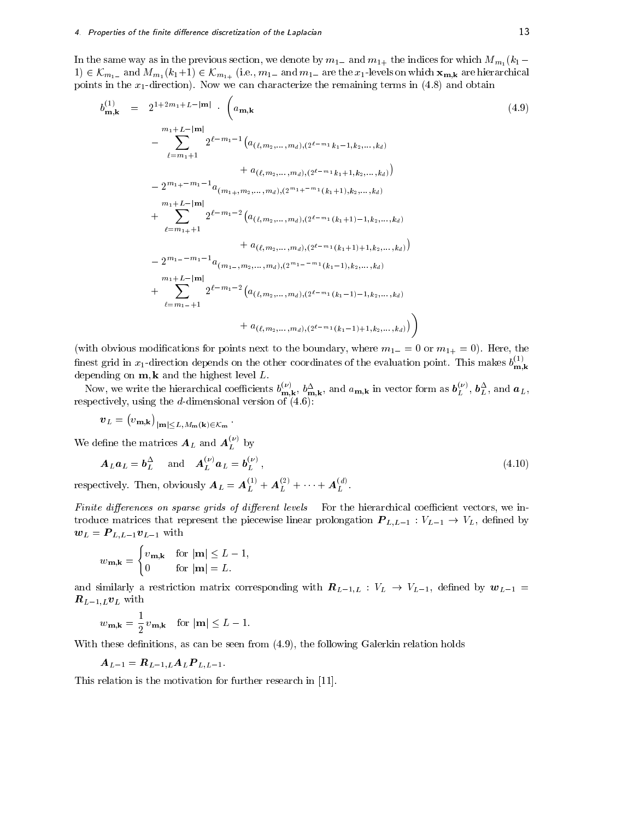In the same way as in the previous section, we denote by  $m_{1-}$  and  $m_{1+}$  the indices for which  $M_{m_1}(k_1 1)$  2 Km<sub>1</sub> and M<sub>m</sub><sub>1</sub> (k<sub>1</sub>+1) 2 Km<sub>1+</sub> (i.e.)  $m_1$  and  $m_1$  are the x<sub>1</sub>-levels on which  $m_1$ **m**<sub>1</sub>**A** are high**n** points in the  $x_1$ -direction). Now we can characterize the remaining terms in (4.8) and obtain

$$
b_{\mathbf{m},\mathbf{k}}^{(1)} = 2^{1+2m_1+L-|\mathbf{m}|} \cdot \left( a_{\mathbf{m},\mathbf{k}} \right)
$$
\n
$$
= \sum_{\ell=m_1+1}^{m_1+L-|\mathbf{m}|} 2^{\ell-m_1-1} \left( a_{(\ell,m_2,\ldots,m_d),(2^{\ell-m_1}k_1-1,k_2,\ldots,k_d)} + a_{(\ell,m_2,\ldots,m_d),(2^{\ell-m_1}k_1+1,k_2,\ldots,k_d)} \right)
$$
\n
$$
= 2^{m_1+ -m_1-1} a_{(m_1+1,m_2,\ldots,m_d),(2^{m_1+ -m_1}(k_1+1),k_2,\ldots,k_d)}
$$
\n
$$
= \sum_{\ell=m_1+1}^{m_1+L-|\mathbf{m}|} 2^{\ell-m_1-2} \left( a_{(\ell,m_2,\ldots,m_d),(2^{\ell-m_1}(k_1+1)-1,k_2,\ldots,k_d)} + a_{(\ell,m_2,\ldots,m_d),(2^{\ell-m_1}(k_1+1)+1,k_2,\ldots,k_d)} \right)
$$
\n
$$
= 2^{m_1- -m_1-1} a_{(m_1-1,m_2,\ldots,m_d),(2^{m_1- -m_1}(k_1-1),k_2,\ldots,k_d)}
$$
\n
$$
+ \sum_{\ell=m_1-1}^{m_1+L-|\mathbf{m}|} 2^{\ell-m_1-2} \left( a_{(\ell,m_2,\ldots,m_d),(2^{\ell-m_1}(k_1-1)-1,k_2,\ldots,k_d)} + a_{(\ell,m_2,\ldots,m_d),(2^{\ell-m_1}(k_1-1)+1,k_2,\ldots,k_d)} \right)
$$

(with obvious modifications for points next to the boundary, where  $m_{1-}=0$  or  $m_{1+}=0$ ). Here, the finest grid in  $x_1$ -direction depends on the other coordinates of the evaluation point. This makes  $b_{\bf m,k}^{(-)}$ man kalendaru kalendaru kalendaru kalendaru kalendaru kalendaru kalendaru kalendaru kalendaru kalendaru kalend depending on m; k and the highest level is the m

Now, we write the hierarchical coefficients  $b_{\mathbf{m},\mathbf{k}}^{\mathbf{m}}, b_{\mathbf{m},\mathbf{k}}^{\mathbf{m}},$  and  $a_{\mathbf{m},\mathbf{k}}$  in vector form as  $b_L^{\mathbf{r}}$ ,  $b_L^{\mathbf{r}}$ , and  $a_L$ , respectively, using the d-dimensional version of  $(4.6)$ :

$$
\boldsymbol{v}_L=\big(v_{\mathbf{m},\mathbf{k}}\big)_{|\mathbf{m}|\leq L,M_{\mathbf{m}}(\mathbf{k})\in\mathcal{K}_{\mathbf{m}}}\,.
$$

We define the matrices  $\boldsymbol{A}_L$  and  $\boldsymbol{A}_L^{\times}$  by

$$
\mathbf{A}_L \mathbf{a}_L = \mathbf{b}_L^{\Delta} \quad \text{and} \quad \mathbf{A}_L^{(\nu)} \mathbf{a}_L = \mathbf{b}_L^{(\nu)},
$$
  
respectively. Then, obviously  $\mathbf{A}_L = \mathbf{A}_L^{(1)} + \mathbf{A}_L^{(2)} + \dots + \mathbf{A}_L^{(d)}.$  (4.10)

Finite differences on sparse grids of different levels For the hierarchical coefficient vectors, we introduce matrices that represent the piecewise linear problem is a set of  $\mathcal{L}$ ; define by a linear problem is a linear problem in the piecewise linear problem is a linear problem in the set of  $\mathcal{L}$  $\boldsymbol{w}_L = \boldsymbol{P}_{L,L-1}\boldsymbol{v}_{L-1}$  with

$$
w_{\mathbf{m},\mathbf{k}} = \begin{cases} v_{\mathbf{m},\mathbf{k}} & \text{for } |\mathbf{m}| \le L - 1, \\ 0 & \text{for } |\mathbf{m}| = L. \end{cases}
$$

and similarly a restriction matrix corresponding with  $R_{L-1,L}: V_L \to V_{L-1}$ , defined by  $w_{L-1}$  $\boldsymbol{R}_{L-1,L}\boldsymbol{v}_L$  with

 $w_{\mathbf{m},\mathbf{k}} = \frac{1}{2} v_{\mathbf{m},\mathbf{k}}$  for  $|\mathbf{m}| \leq L - 1$ .

With these definitions, as can be seen from  $(4.9)$ , the following Galerkin relation holds

$$
\boldsymbol{A}_{L-1} = \boldsymbol{R}_{L-1,L} \boldsymbol{A}_L \boldsymbol{P}_{L,L-1}.
$$

This relation is the motivation for further research in [11].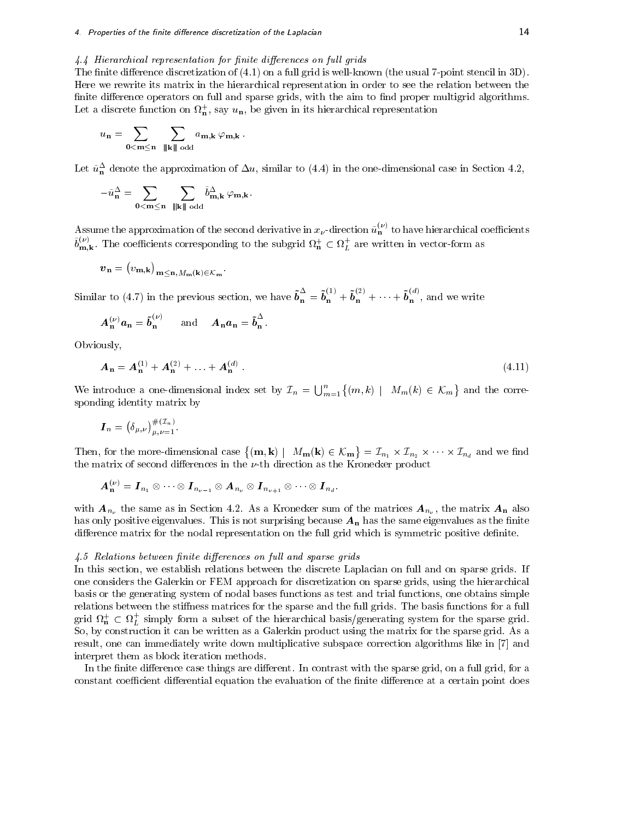## $4.4$  Hierarchical representation for finite differences on full grids

The finite difference discretization of  $(4.1)$  on a full grid is well-known (the usual 7-point stencil in 3D). Here we rewrite its matrix in the hierarchical representation in order to see the relation between the finite difference operators on full and sparse grids, with the aim to find proper multigrid algorithms. Let a discrete function on  $u_n$ , say  $u_n$ , be given in its merarchical representation

$$
u_{\mathbf{n}} = \sum_{\mathbf{0} < \mathbf{m} \leq \mathbf{n}} \sum_{\|\mathbf{k}\| \text{ odd}} a_{\mathbf{m},\mathbf{k}} \varphi_{\mathbf{m},\mathbf{k}}.
$$

Let  $u_{\bf n}$  denote the approximation of  $\Delta u$ , similar to (4.4) in the one-dimensional case in Section 4.2,

$$
-\tilde u_{\mathbf{n}}^\Delta=\sum_{\mathbf{0} <\mathbf{m}\leq \mathbf{n}}\ \, \sum_{\parallel \! \parallel \mathbf{k} \parallel \! \parallel \, \text{odd}}\tilde b_{\mathbf{m},\mathbf{k}}^\Delta \, \varphi_{\mathbf{m},\mathbf{k}}.
$$

Assume the approximation of the second derivative in  $x_\nu$ -direction  $u_{\mathbf{n}}^\vee$  to have hierarchical coefficients  $b_{\text{m},k}^{\infty}$ . The coefficients corresponding to the subgrid  $\Omega_{\text{n}}^{\infty} \subset \Omega_L^+$  are written in vector-form as

$$
\boldsymbol{v}_{\mathbf{n}}=\big(v_{\mathbf{m},\mathbf{k}}\big)_{\mathbf{m}\leq\mathbf{n},M_{\mathbf{m}}(\mathbf{k})\in\mathcal{K}_{\mathbf{m}}}.
$$

Similar to (4.7) in the previous section, we have  $b_n^- = b_n^{(-)} + b_n^{-} + \cdots + b_n^{(-)}$ , and we write

$$
\boldsymbol{A}_{\mathbf{n}}^{(\nu)}\boldsymbol{a}_{\mathbf{n}}=\boldsymbol{\tilde{b}}_{\mathbf{n}}^{(\nu)}\qquad\textrm{and}\qquad \boldsymbol{A}_{\mathbf{n}}\boldsymbol{a}_{\mathbf{n}}=\boldsymbol{\tilde{b}}_{\mathbf{n}}^{\Delta}.
$$

Obviously,

$$
A_{n} = A_{n}^{(1)} + A_{n}^{(2)} + \ldots + A_{n}^{(d)}.
$$
\n(4.11)

We introduce a one-dimensional index set by  $\mathcal{I}_n = \bigcup_{m=1}^n \{(m,k) \mid M_m(k) \in \mathcal{K}_m\}$  and the c sponding identity matrix by

$$
\boldsymbol{I}_n = \big(\delta_{\mu,\nu}\big)_{\mu,\nu=1}^{\#(\mathcal{I}_n)}.
$$

Then, for the more-dimensional case  $\{(\mathbf{m}, \mathbf{k}) \mid M_{\mathbf{m}}(\mathbf{k}) \in \mathcal{K}_{\mathbf{m}}\} = \mathcal{I}_{n_1} \times \mathcal{I}_{n_2}$  $= n_1 + \cdots + n_2$  .  $\cdots = n_d$  and we have  $\cdots$ the matrix of second differences in the  $\nu$ -th direction as the Kronecker product

$$
\displaystyle \bm{A}_{\mathbf{n}}^{(\nu)} = \bm{I}_{n_1} \otimes \cdots \otimes \bm{I}_{n_{\nu-1}} \otimes \bm{A}_{n_{\nu}} \otimes \bm{I}_{n_{\nu+1}} \otimes \cdots \otimes \bm{I}_{n_d}.
$$

with  $A_{n_{\nu}}$  the same as in Section 4.2. As a Kronecker sum of the matrices  $A_{n_{\nu}}$ , the matrix  $A_n$  also has only positive eigenvalues. This is not surprising because  $A_n$  has the same eigenvalues as the finite difference matrix for the nodal representation on the full grid which is symmetric positive definite.

### 4.5 Relations between finite differences on full and sparse grids

In this section, we establish relations between the discrete Laplacian on full and on sparse grids. If one considers the Galerkin or FEM approach for discretization on sparse grids, using the hierarchical basis or the generating system of nodal bases functions as test and trial functions, one obtains simple relations between the stiffness matrices for the sparse and the full grids. The basis functions for a full grid  $\nu_{\bf n} \in \nu_L$  simply form a subset of the hierarchical basis/generating system for the sparse grid. So, by construction it can be written as a Galerkin product using the matrix for the sparse grid. As a result, one can immediately write down multiplicative subspace correction algorithms like in [7] and interpret them as block iteration methods.

In the finite difference case things are different. In contrast with the sparse grid, on a full grid, for a constant coefficient differential equation the evaluation of the finite difference at a certain point does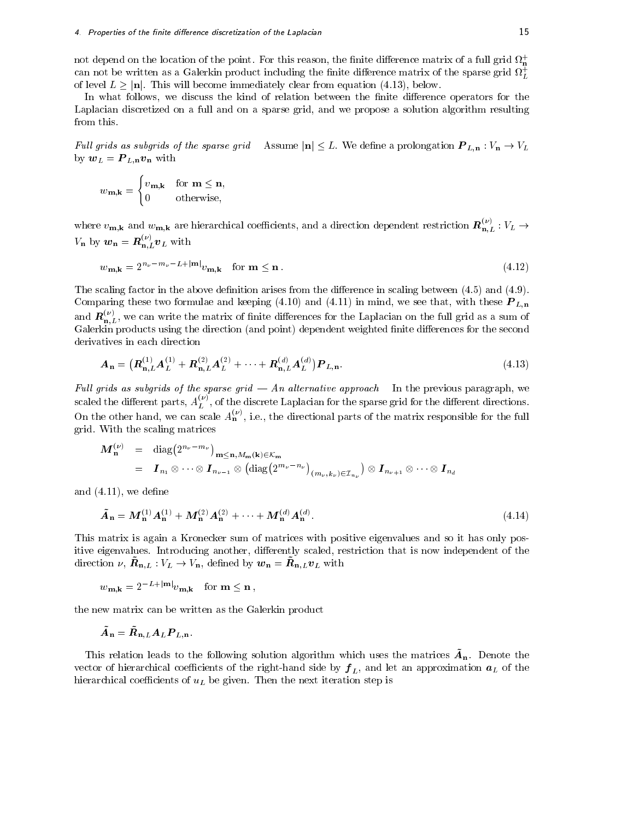### 4. Properties of the finite difference discretization of the Laplacian  $15\,$

not depend on the location of the point. For this reason, the limite difference matrix of a full grid  $u_n$ can not be written as a Galerkin product including the finite difference matrix of the sparse grid  $\boldsymbol{\varOmega}_T$ of level  $L \geq |\mathbf{n}|$ . This will become immediately clear from equation (4.13), below.

In what follows, we discuss the kind of relation between the finite difference operators for the Laplacian discretized on a full and on a sparse grid, and we propose a solution algorithm resulting from this.

Full grids as subgrids of the sparse grid Assume  $|n| \leq L$ . We define a prolongation  $P_{L,n} : V_n \to V_L$ by  $w_L = P_{L,n} v_n$  with

$$
w_{\mathbf{m},\mathbf{k}} = \begin{cases} v_{\mathbf{m},\mathbf{k}} & \text{for } \mathbf{m} \le \mathbf{n}, \\ 0 & \text{otherwise}, \end{cases}
$$

where  $v_{\mathbf{m},\mathbf{k}}$  and  $w_{\mathbf{m},\mathbf{k}}$  are hierarchical coefficients, and a direction dependent restriction  $\bm{R}_{\mathbf{n},L}^{c}$  :  $V_L \rightarrow$  $V_{\mathbf{n}}$  by  $\mathbf{w}_{\mathbf{n}} = \mathbf{R}_{\mathbf{n},L}^{\top} \mathbf{v}_L$  with

$$
w_{\mathbf{m},\mathbf{k}} = 2^{n_{\nu} - m_{\nu} - L + |\mathbf{m}|} v_{\mathbf{m},\mathbf{k}} \quad \text{for } \mathbf{m} \le \mathbf{n} \,. \tag{4.12}
$$

The scaling factor in the above definition arises from the difference in scaling between  $(4.5)$  and  $(4.9)$ . Comparing these two formulae and keeping (4.10) and (4.11) in mind, we see that, with these P L;n and  $R_{\mathrm{n},L}^{\mathrm{v}}$ , we can write the matrix of finite differences for the Laplacian on the full grid as a sum of Galerkin products using the direction (and point) dependent weighted finite differences for the second derivatives in each direction

$$
A_{n} = (R_{n,L}^{(1)}A_{L}^{(1)} + R_{n,L}^{(2)}A_{L}^{(2)} + \cdots + R_{n,L}^{(d)}A_{L}^{(d)})P_{L,n}.
$$
\n(4.13)

Full grids as subgrids of the sparse grid  $-$  An alternative approach In the previous paragraph, we scaled the different parts,  $A_L^\vee$  , of the discrete Laplacian for the sparse grid for the different directions. On the other hand, we can scale  $A_{\mathbf{n}}^{\{1,2\}}$ , i.e., the directional parts of the matrix responsible for the full grid. With the scaling matrices

$$
\mathbf{M}_{\mathbf{n}}^{(\nu)} = \text{diag}(2^{n_{\nu}-m_{\nu}})_{\mathbf{m}\leq\mathbf{n},M_{\mathbf{m}}(\mathbf{k})\in\mathcal{K}_{\mathbf{m}}}
$$
  
\n
$$
= \mathbf{I}_{n_{1}} \otimes \cdots \otimes \mathbf{I}_{n_{\nu-1}} \otimes (\text{diag}(2^{m_{\nu}-n_{\nu}})_{(m_{\nu},k_{\nu})\in\mathcal{I}_{n_{\nu}}}) \otimes \mathbf{I}_{n_{\nu+1}} \otimes \cdots \otimes \mathbf{I}_{n_{d}}
$$

and  $(4.11)$ , we define

$$
\tilde{A}_{n} = M_{n}^{(1)} A_{n}^{(1)} + M_{n}^{(2)} A_{n}^{(2)} + \dots + M_{n}^{(d)} A_{n}^{(d)}.
$$
\n(4.14)

This matrix is again a Kronecker sum of matrices with positive eigenvalues and so it has only positive eigenvalues. Introducing another, differently scaled, restriction that is now independent of the direction  $\nu$ ,  $\iota_{\mathbf{u}}$ ,  $\iota_{\mathbf{u}}$  ,  $\iota_{\mathbf{u}}$  ,  $\iota_{\mathbf{u}}$ , a emited by  $\omega_{\mathbf{n}} = \iota_{\mathbf{u}}$ ,  $\iota_{\mathbf{u}}$ , with

$$
w_{\mathbf{m},\mathbf{k}} = 2^{-L + |\mathbf{m}|} v_{\mathbf{m},\mathbf{k}} \quad \text{for } \mathbf{m} \le \mathbf{n},
$$

the new matrix can be written as the Galerkin product

$$
\bar{\bm{A}}_{\mathbf{n}} = \bar{\bm{R}}_{\mathbf{n},L} \bm{A}_L \bm{P}_{L,\mathbf{n}}.
$$

This relation leads to the following solution algorithm which uses the matrices A~ n. Denote the vector of the right-hand side by f L, and let an approximation all  $B$ hierarchical coefficients of  $u_L$  be given. Then the next iteration step is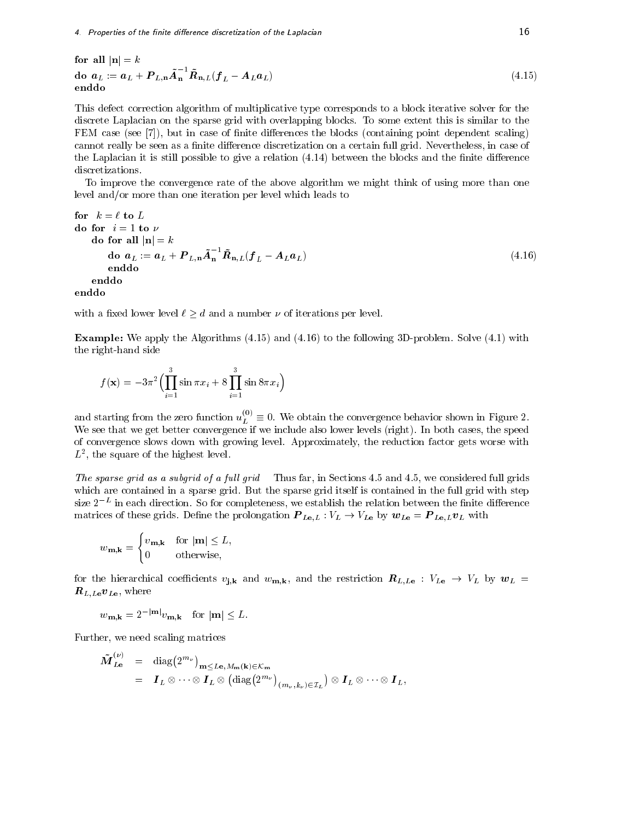4. Properties of the finite difference discretization of the Laplacian  $16$ 

$$
\begin{aligned}\n\text{for all } |\mathbf{n}| &= k \\
\text{do } \mathbf{a}_L &:= \mathbf{a}_L + \mathbf{P}_{L,\mathbf{n}} \tilde{\mathbf{A}}_{\mathbf{n}}^{-1} \tilde{\mathbf{R}}_{\mathbf{n},L} (\mathbf{f}_L - \mathbf{A}_L \mathbf{a}_L) \\
\text{enddo} \n\end{aligned} \tag{4.15}
$$

This defect correction algorithm of multiplicative type corresponds to a block iterative solver for the discrete Laplacian on the sparse grid with overlapping blocks. To some extent this is similar to the FEM case (see [7]), but in case of finite differences the blocks (containing point dependent scaling) cannot really be seen as a finite difference discretization on a certain full grid. Nevertheless, in case of the Laplacian it is still possible to give a relation  $(4.14)$  between the blocks and the finite difference discretizations.

To improve the convergence rate of the above algorithm we might think of using more than one level and/or more than one iteration per level which leads to

for 
$$
k = \ell
$$
 to L  
\ndo for  $i = 1$  to  $\nu$   
\ndo for all  $|\mathbf{n}| = k$   
\ndo  $a_L := a_L + P_{L,n} \tilde{A}_n^{-1} \tilde{R}_{n,L} (f_L - A_L a_L)$   
\nenddo  
\nenddo  
\nenddo  
\nand

enddo

with a fixed lower level  $\ell \geq d$  and a number  $\nu$  of iterations per level.

Example: We apply the Algorithms (4.15) and (4.16) to the following 3D-problem. Solve (4.1) with the right-hand side

$$
f(\mathbf{x}) = -3\pi^2 \Big( \prod_{i=1}^3 \sin \pi x_i + 8 \prod_{i=1}^3 \sin 8\pi x_i \Big)
$$

and starting from the zero function  $u_L^\perp{}'\equiv 0.$  We obtain the convergence behavior shown in Figure 2. We see that we get better converges if we include also lower levels (right). In both cases, the speed of the speed of the speed of the speed of the speed of the speed of the speed of the speed of the speed of the speed of of convergence slows down with growing level. Approximately, the reduction factor gets worse with  $L$ , the square of the highest level.

The sparse grid as a subgrid of a full grid Thus far, in Sections 4.5 and 4.5, we considered full grids which are contained in a sparse grid. But the sparse grid itself is contained in the full grid with step  $_{\rm Size~Z}$  = in each direction. So for completeness, we establish the relation between the finite difference matrices of these grids. Denotes the prolongation  $P$  Le;L  $\vee$  VL  $\vee$   $\vee$   $\vee$   $\vee$   $\vee$   $\vee$   $\vee$   $\vee$   $\vee$   $\vee$   $\vee$   $\vee$   $\vee$   $\vee$   $\vee$   $\vee$   $\vee$   $\vee$   $\vee$   $\vee$   $\vee$   $\vee$   $\vee$   $\vee$   $\vee$   $\ve$ 

$$
w_{\mathbf{m},\mathbf{k}} = \begin{cases} v_{\mathbf{m},\mathbf{k}} & \text{for } |\mathbf{m}| \le L, \\ 0 & \text{otherwise,} \end{cases}
$$

for the hierarchical coefficients  $v_{j,k}$  and  $w_{m,k}$ , and the restriction  $R_{L,L}$  :  $V_{L}$   $\rightarrow$   $V_{L}$  by  $w_{L}$  =  $\boldsymbol{R}_{L,L}e\boldsymbol{v}_{L}\textbf{e}$ , where

 $w_{\mathbf{m},\mathbf{k}} = 2^{-|\mathbf{m}|}v_{\mathbf{m},\mathbf{k}}$  for  $|\mathbf{m}| \leq L$ .

Further, we need scaling matrices

$$
\tilde{\boldsymbol{M}}_{L\mathbf{e}}^{(\nu)} = \operatorname{diag}(2^{m_{\nu}})_{\mathbf{m} \leq L\mathbf{e}, M_{\mathbf{m}}(\mathbf{k}) \in \mathcal{K}_{\mathbf{m}}}
$$
\n
$$
= \boldsymbol{I}_L \otimes \cdots \otimes \boldsymbol{I}_L \otimes (\operatorname{diag}(2^{m_{\nu}})_{(m_{\nu},k_{\nu}) \in \mathcal{I}_L}) \otimes \boldsymbol{I}_L \otimes \cdots \otimes \boldsymbol{I}_L,
$$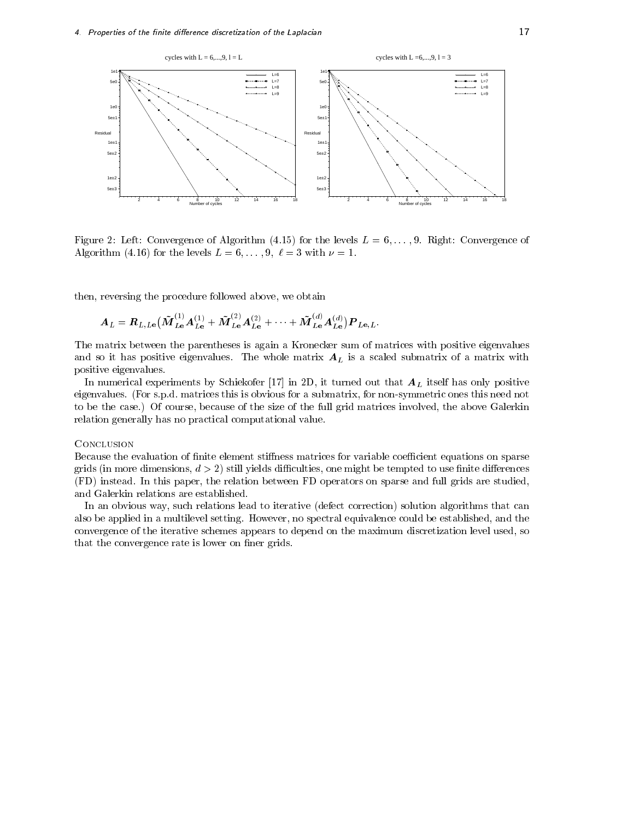

Figure 2: Left: Convergence of Algorithm (4.15) for the levels  $L = 6, \ldots, 9$ . Right: Convergence of Algorithm (4.16) for the levels  $L = 6, \ldots, 9, \ell = 3$  with  $\nu = 1$ .

then, reversing the procedure followed above, we obtain

$$
\bm{A}_{\bm{L}} = \bm{R}_{\bm{L},\bm{L}\mathbf{e}}\big(\tilde{\bm{M}}_{\bm{L}\mathbf{e}}^{(1)}\bm{A}_{\bm{L}\mathbf{e}}^{(1)} + \tilde{\bm{M}}_{\bm{L}\mathbf{e}}^{(2)}\bm{A}_{\bm{L}\mathbf{e}}^{(2)} + \cdots + \tilde{\bm{M}}_{\bm{L}\mathbf{e}}^{(d)}\bm{A}_{\bm{L}\mathbf{e}}^{(d)})\bm{P}_{\bm{L}\mathbf{e},\bm{L}}.
$$

The matrix between the parentheses is again a Kronecker sum of matrices with positive eigenvalues and so it has positive eigenvalues. The whole matrix  $A_L$  is a scaled submatrix of a matrix with positive eigenvalues.

In numerical experiments by Schiekofer [17] in 2D, it turned out that  $A_L$  itself has only positive eigenvalues. (For s.p.d. matrices this is obvious for a submatrix, for non-symmetric ones this need not to be the case.) Of course, because of the size of the full grid matrices involved, the above Galerkin relation generally has no practical computational value.

### **CONCLUSION**

Because the evaluation of finite element stiffness matrices for variable coefficient equations on sparse grids (in more dimensions,  $d > 2$ ) still yields difficulties, one might be tempted to use finite differences (FD) instead. In this paper, the relation between FD operators on sparse and full grids are studied, and Galerkin relations are established.

In an obvious way, such relations lead to iterative (defect correction) solution algorithms that can also be applied in a multilevel setting. However, no spectral equivalence could be established, and the convergence of the iterative schemes appears to depend on the maximum discretization level used, so that the convergence rate is lower on finer grids.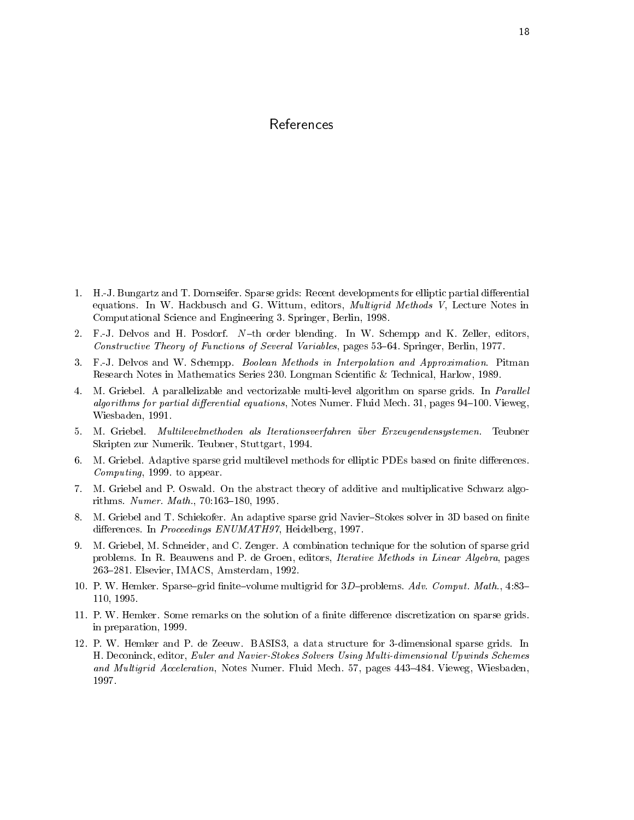# References

- 1. H.-J. Bungartz and T. Dornseifer. Sparse grids: Recent developments for elliptic partial differential equations. In W. Hackbusch and G. Wittum, editors, Multigrid Methods V, Lecture Notes in Computational Science and Engineering 3. Springer, Berlin, 1998.
- 2. F.-J. Delvos and H. Posdorf.  $N$ -th order blending. In W. Schempp and K. Zeller, editors, Constructive Theory of Functions of Several Variables, pages 53–64. Springer, Berlin, 1977.
- 3. F.-J. Delvos and W. Schempp. Boolean Methods in Interpolation and Approximation. Pitman Research Notes in Mathematics Series 230. Longman Scientic & Technical, Harlow, 1989.
- 4. M. Griebel. A parallelizable and vectorizable multi-level algorithm on sparse grids. In *Parallel* algorithms for partial differential equations, Notes Numer. Fluid Mech. 31, pages 94-100. Vieweg, Wiesbaden, 1991.
- 5. M. Griebel. Multilevelmethoden als Iterationsverfahren über Erzeugendensystemen. Teubner Skripten zur Numerik. Teubner, Stuttgart, 1994.
- 6. M. Griebel. Adaptive sparse grid multilevel methods for elliptic PDEs based on finite differences. Computing, 1999. to appear.
- 7. M. Griebel and P. Oswald. On the abstract theory of additive and multiplicative Schwarz algorithms. Numer. Math., 70:163-180, 1995.
- 8. M. Griebel and T. Schiekofer. An adaptive sparse grid Navier-Stokes solver in 3D based on finite differences. In Proceedings ENUMATH97, Heidelberg, 1997.
- 9. M. Griebel, M. Schneider, and C. Zenger. A combination technique for the solution of sparse grid problems. In R. Beauwens and P. de Groen, editors, *Iterative Methods in Linear Algebra*, pages 263{281. Elsevier, IMACS, Amsterdam, 1992.
- 10. P. W. Hemker. Sparse-grid finite-volume multigrid for  $3D$ -problems. Adv. Comput. Math., 4:83-110, 1995.
- 11. P. W. Hemker. Some remarks on the solution of a finite difference discretization on sparse grids. in preparation, 1999.
- 12. P. W. Hemker and P. de Zeeuw. BASIS3, a data structure for 3-dimensional sparse grids. In H. Deconinck, editor, Euler and Navier-Stokes Solvers Using Multi-dimensional Upwinds Schemes and Multigrid Acceleration, Notes Numer. Fluid Mech. 57, pages 443-484. Vieweg, Wiesbaden, 1997.